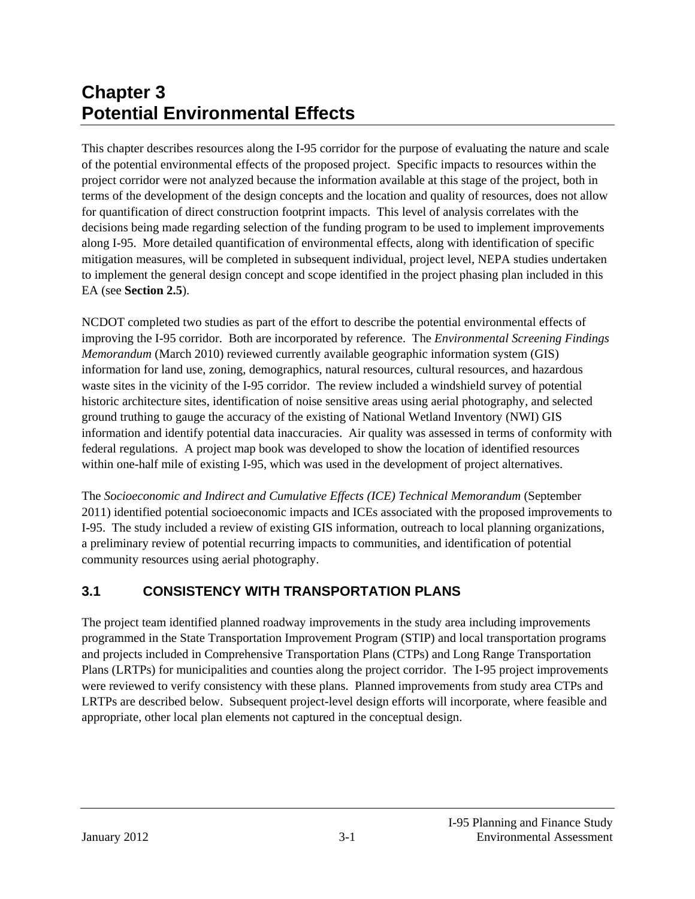# **Chapter 3 Potential Environmental Effects**

This chapter describes resources along the I-95 corridor for the purpose of evaluating the nature and scale of the potential environmental effects of the proposed project. Specific impacts to resources within the project corridor were not analyzed because the information available at this stage of the project, both in terms of the development of the design concepts and the location and quality of resources, does not allow for quantification of direct construction footprint impacts. This level of analysis correlates with the decisions being made regarding selection of the funding program to be used to implement improvements along I-95. More detailed quantification of environmental effects, along with identification of specific mitigation measures, will be completed in subsequent individual, project level, NEPA studies undertaken to implement the general design concept and scope identified in the project phasing plan included in this EA (see **Section 2.5**).

NCDOT completed two studies as part of the effort to describe the potential environmental effects of improving the I-95 corridor. Both are incorporated by reference. The *Environmental Screening Findings Memorandum* (March 2010) reviewed currently available geographic information system (GIS) information for land use, zoning, demographics, natural resources, cultural resources, and hazardous waste sites in the vicinity of the I-95 corridor. The review included a windshield survey of potential historic architecture sites, identification of noise sensitive areas using aerial photography, and selected ground truthing to gauge the accuracy of the existing of National Wetland Inventory (NWI) GIS information and identify potential data inaccuracies. Air quality was assessed in terms of conformity with federal regulations. A project map book was developed to show the location of identified resources within one-half mile of existing I-95, which was used in the development of project alternatives.

The *Socioeconomic and Indirect and Cumulative Effects (ICE) Technical Memorandum* (September 2011) identified potential socioeconomic impacts and ICEs associated with the proposed improvements to I-95. The study included a review of existing GIS information, outreach to local planning organizations, a preliminary review of potential recurring impacts to communities, and identification of potential community resources using aerial photography.

# **3.1 CONSISTENCY WITH TRANSPORTATION PLANS**

The project team identified planned roadway improvements in the study area including improvements programmed in the State Transportation Improvement Program (STIP) and local transportation programs and projects included in Comprehensive Transportation Plans (CTPs) and Long Range Transportation Plans (LRTPs) for municipalities and counties along the project corridor. The I-95 project improvements were reviewed to verify consistency with these plans. Planned improvements from study area CTPs and LRTPs are described below. Subsequent project-level design efforts will incorporate, where feasible and appropriate, other local plan elements not captured in the conceptual design.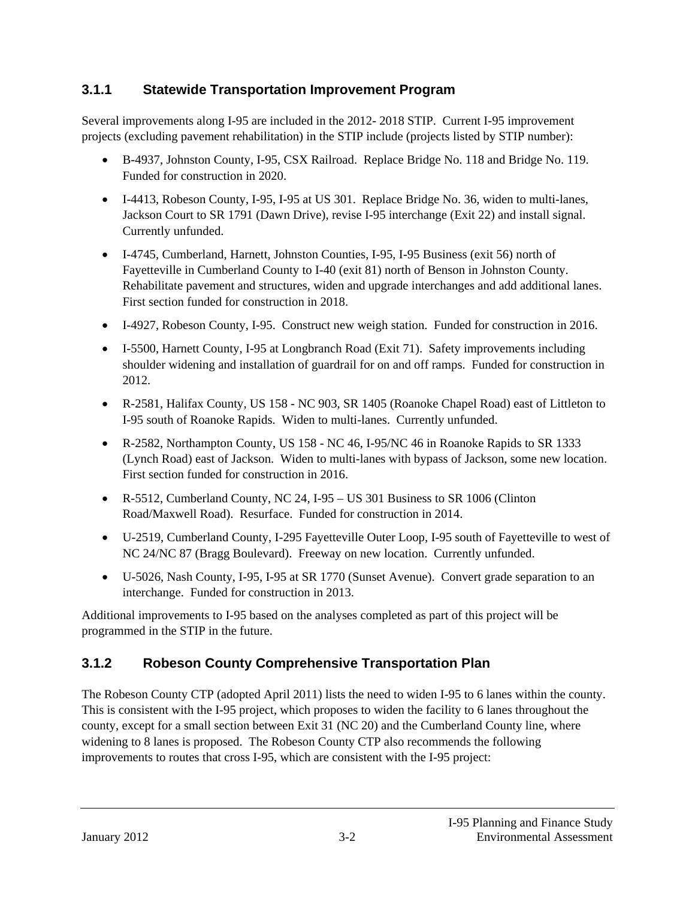### **3.1.1 Statewide Transportation Improvement Program**

Several improvements along I-95 are included in the 2012- 2018 STIP. Current I-95 improvement projects (excluding pavement rehabilitation) in the STIP include (projects listed by STIP number):

- B-4937, Johnston County, I-95, CSX Railroad. Replace Bridge No. 118 and Bridge No. 119. Funded for construction in 2020.
- I-4413, Robeson County, I-95, I-95 at US 301. Replace Bridge No. 36, widen to multi-lanes, Jackson Court to SR 1791 (Dawn Drive), revise I-95 interchange (Exit 22) and install signal. Currently unfunded.
- I-4745, Cumberland, Harnett, Johnston Counties, I-95, I-95 Business (exit 56) north of Fayetteville in Cumberland County to I-40 (exit 81) north of Benson in Johnston County. Rehabilitate pavement and structures, widen and upgrade interchanges and add additional lanes. First section funded for construction in 2018.
- I-4927, Robeson County, I-95. Construct new weigh station. Funded for construction in 2016.
- I-5500, Harnett County, I-95 at Longbranch Road (Exit 71). Safety improvements including shoulder widening and installation of guardrail for on and off ramps. Funded for construction in 2012.
- R-2581, Halifax County, US 158 NC 903, SR 1405 (Roanoke Chapel Road) east of Littleton to I-95 south of Roanoke Rapids. Widen to multi-lanes. Currently unfunded.
- R-2582, Northampton County, US 158 NC 46, I-95/NC 46 in Roanoke Rapids to SR 1333 (Lynch Road) east of Jackson. Widen to multi-lanes with bypass of Jackson, some new location. First section funded for construction in 2016.
- R-5512, Cumberland County, NC 24, I-95 US 301 Business to SR 1006 (Clinton Road/Maxwell Road). Resurface. Funded for construction in 2014.
- U-2519, Cumberland County, I-295 Fayetteville Outer Loop, I-95 south of Fayetteville to west of NC 24/NC 87 (Bragg Boulevard). Freeway on new location. Currently unfunded.
- U-5026, Nash County, I-95, I-95 at SR 1770 (Sunset Avenue). Convert grade separation to an interchange. Funded for construction in 2013.

Additional improvements to I-95 based on the analyses completed as part of this project will be programmed in the STIP in the future.

# **3.1.2 Robeson County Comprehensive Transportation Plan**

The Robeson County CTP (adopted April 2011) lists the need to widen I-95 to 6 lanes within the county. This is consistent with the I-95 project, which proposes to widen the facility to 6 lanes throughout the county, except for a small section between Exit 31 (NC 20) and the Cumberland County line, where widening to 8 lanes is proposed. The Robeson County CTP also recommends the following improvements to routes that cross I-95, which are consistent with the I-95 project: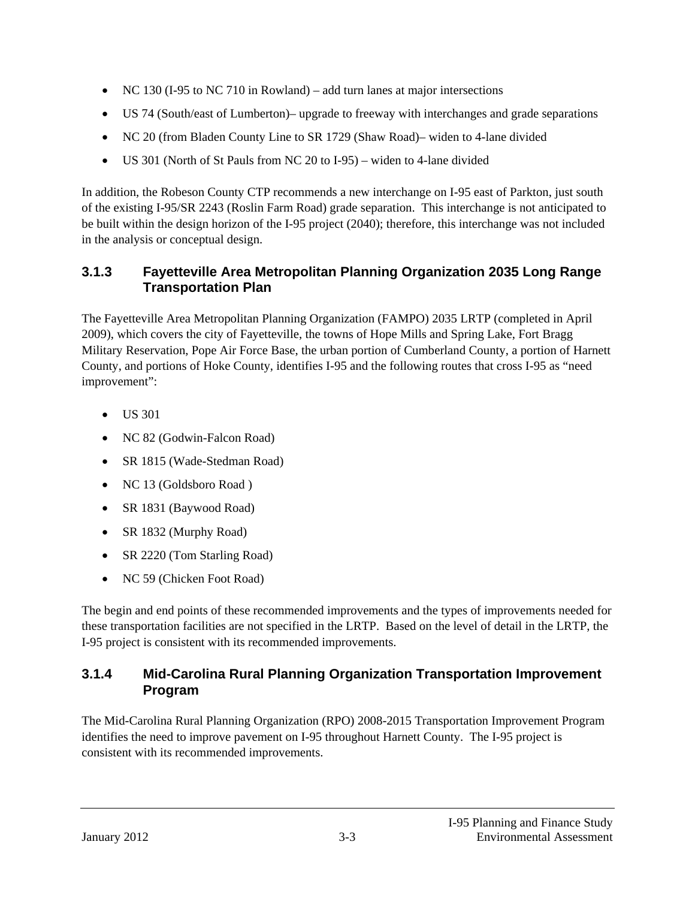- $\bullet$  NC 130 (I-95 to NC 710 in Rowland) add turn lanes at major intersections
- US 74 (South/east of Lumberton)– upgrade to freeway with interchanges and grade separations
- NC 20 (from Bladen County Line to SR 1729 (Shaw Road)– widen to 4-lane divided
- US 301 (North of St Pauls from NC 20 to I-95) widen to 4-lane divided

In addition, the Robeson County CTP recommends a new interchange on I-95 east of Parkton, just south of the existing I-95/SR 2243 (Roslin Farm Road) grade separation. This interchange is not anticipated to be built within the design horizon of the I-95 project (2040); therefore, this interchange was not included in the analysis or conceptual design.

### **3.1.3 Fayetteville Area Metropolitan Planning Organization 2035 Long Range Transportation Plan**

The Fayetteville Area Metropolitan Planning Organization (FAMPO) 2035 LRTP (completed in April 2009), which covers the city of Fayetteville, the towns of Hope Mills and Spring Lake, Fort Bragg Military Reservation, Pope Air Force Base, the urban portion of Cumberland County, a portion of Harnett County, and portions of Hoke County, identifies I-95 and the following routes that cross I-95 as "need improvement":

- $\bullet$  US 301
- NC 82 (Godwin-Falcon Road)
- SR 1815 (Wade-Stedman Road)
- NC 13 (Goldsboro Road)
- SR 1831 (Baywood Road)
- SR 1832 (Murphy Road)
- SR 2220 (Tom Starling Road)
- NC 59 (Chicken Foot Road)

The begin and end points of these recommended improvements and the types of improvements needed for these transportation facilities are not specified in the LRTP. Based on the level of detail in the LRTP, the I-95 project is consistent with its recommended improvements.

### **3.1.4 Mid-Carolina Rural Planning Organization Transportation Improvement Program**

The Mid-Carolina Rural Planning Organization (RPO) 2008-2015 Transportation Improvement Program identifies the need to improve pavement on I-95 throughout Harnett County. The I-95 project is consistent with its recommended improvements.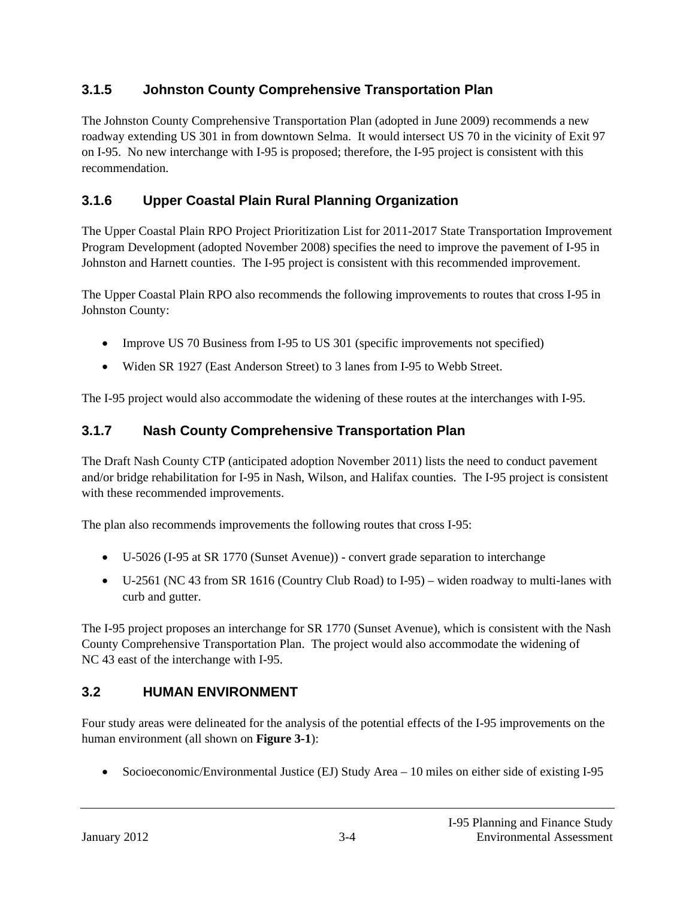### **3.1.5 Johnston County Comprehensive Transportation Plan**

The Johnston County Comprehensive Transportation Plan (adopted in June 2009) recommends a new roadway extending US 301 in from downtown Selma. It would intersect US 70 in the vicinity of Exit 97 on I-95. No new interchange with I-95 is proposed; therefore, the I-95 project is consistent with this recommendation.

### **3.1.6 Upper Coastal Plain Rural Planning Organization**

The Upper Coastal Plain RPO Project Prioritization List for 2011-2017 State Transportation Improvement Program Development (adopted November 2008) specifies the need to improve the pavement of I-95 in Johnston and Harnett counties. The I-95 project is consistent with this recommended improvement.

The Upper Coastal Plain RPO also recommends the following improvements to routes that cross I-95 in Johnston County:

- Improve US 70 Business from I-95 to US 301 (specific improvements not specified)
- Widen SR 1927 (East Anderson Street) to 3 lanes from I-95 to Webb Street.

The I-95 project would also accommodate the widening of these routes at the interchanges with I-95.

### **3.1.7 Nash County Comprehensive Transportation Plan**

The Draft Nash County CTP (anticipated adoption November 2011) lists the need to conduct pavement and/or bridge rehabilitation for I-95 in Nash, Wilson, and Halifax counties. The I-95 project is consistent with these recommended improvements.

The plan also recommends improvements the following routes that cross I-95:

- U-5026 (I-95 at SR 1770 (Sunset Avenue)) convert grade separation to interchange
- U-2561 (NC 43 from SR 1616 (Country Club Road) to I-95) widen roadway to multi-lanes with curb and gutter.

The I-95 project proposes an interchange for SR 1770 (Sunset Avenue), which is consistent with the Nash County Comprehensive Transportation Plan. The project would also accommodate the widening of NC 43 east of the interchange with I-95.

### **3.2 HUMAN ENVIRONMENT**

Four study areas were delineated for the analysis of the potential effects of the I-95 improvements on the human environment (all shown on **Figure 3-1**):

Socioeconomic/Environmental Justice (EJ) Study Area – 10 miles on either side of existing I-95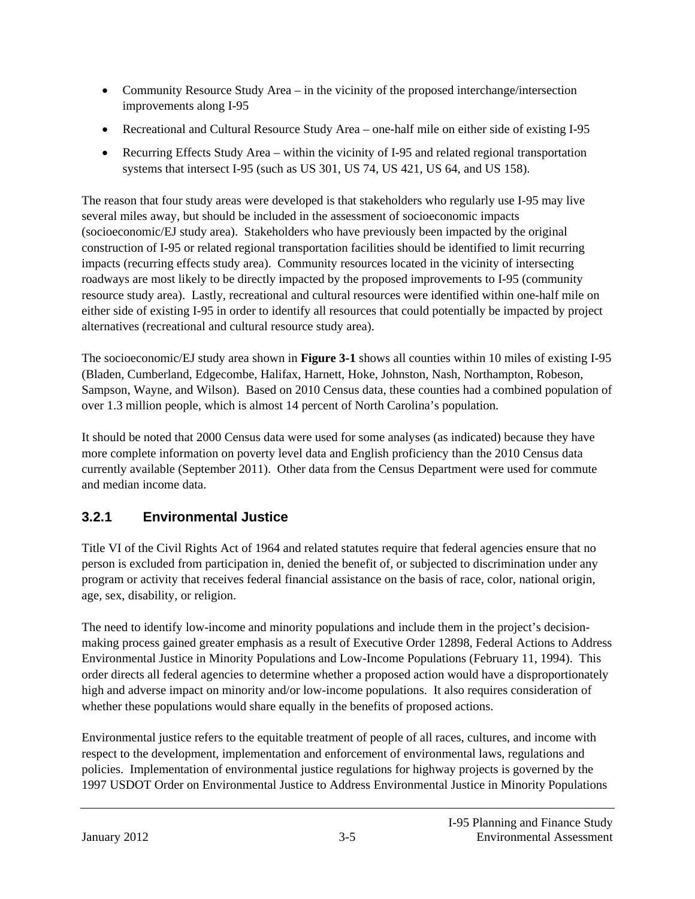- Community Resource Study Area in the vicinity of the proposed interchange/intersection improvements along I-95
- Recreational and Cultural Resource Study Area one-half mile on either side of existing I-95
- Recurring Effects Study Area within the vicinity of I-95 and related regional transportation systems that intersect I-95 (such as US 301, US 74, US 421, US 64, and US 158).

The reason that four study areas were developed is that stakeholders who regularly use I-95 may live several miles away, but should be included in the assessment of socioeconomic impacts (socioeconomic/EJ study area). Stakeholders who have previously been impacted by the original construction of I-95 or related regional transportation facilities should be identified to limit recurring impacts (recurring effects study area). Community resources located in the vicinity of intersecting roadways are most likely to be directly impacted by the proposed improvements to I-95 (community resource study area). Lastly, recreational and cultural resources were identified within one-half mile on either side of existing I-95 in order to identify all resources that could potentially be impacted by project alternatives (recreational and cultural resource study area).

The socioeconomic/EJ study area shown in **Figure 3-1** shows all counties within 10 miles of existing I-95 (Bladen, Cumberland, Edgecombe, Halifax, Harnett, Hoke, Johnston, Nash, Northampton, Robeson, Sampson, Wayne, and Wilson). Based on 2010 Census data, these counties had a combined population of over 1.3 million people, which is almost 14 percent of North Carolina's population.

It should be noted that 2000 Census data were used for some analyses (as indicated) because they have more complete information on poverty level data and English proficiency than the 2010 Census data currently available (September 2011). Other data from the Census Department were used for commute and median income data.

# **3.2.1 Environmental Justice**

Title VI of the Civil Rights Act of 1964 and related statutes require that federal agencies ensure that no person is excluded from participation in, denied the benefit of, or subjected to discrimination under any program or activity that receives federal financial assistance on the basis of race, color, national origin, age, sex, disability, or religion.

The need to identify low-income and minority populations and include them in the project's decisionmaking process gained greater emphasis as a result of Executive Order 12898, Federal Actions to Address Environmental Justice in Minority Populations and Low-Income Populations (February 11, 1994). This order directs all federal agencies to determine whether a proposed action would have a disproportionately high and adverse impact on minority and/or low-income populations. It also requires consideration of whether these populations would share equally in the benefits of proposed actions.

Environmental justice refers to the equitable treatment of people of all races, cultures, and income with respect to the development, implementation and enforcement of environmental laws, regulations and policies. Implementation of environmental justice regulations for highway projects is governed by the 1997 USDOT Order on Environmental Justice to Address Environmental Justice in Minority Populations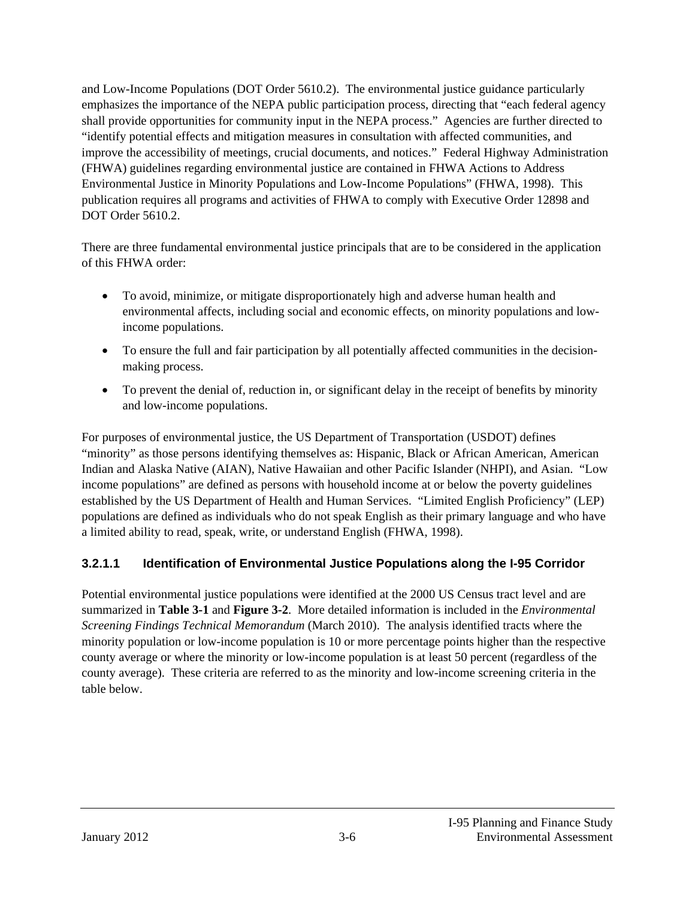and Low-Income Populations (DOT Order 5610.2). The environmental justice guidance particularly emphasizes the importance of the NEPA public participation process, directing that "each federal agency shall provide opportunities for community input in the NEPA process." Agencies are further directed to "identify potential effects and mitigation measures in consultation with affected communities, and improve the accessibility of meetings, crucial documents, and notices." Federal Highway Administration (FHWA) guidelines regarding environmental justice are contained in FHWA Actions to Address Environmental Justice in Minority Populations and Low-Income Populations" (FHWA, 1998). This publication requires all programs and activities of FHWA to comply with Executive Order 12898 and DOT Order 5610.2.

There are three fundamental environmental justice principals that are to be considered in the application of this FHWA order:

- To avoid, minimize, or mitigate disproportionately high and adverse human health and environmental affects, including social and economic effects, on minority populations and lowincome populations.
- To ensure the full and fair participation by all potentially affected communities in the decisionmaking process.
- To prevent the denial of, reduction in, or significant delay in the receipt of benefits by minority and low-income populations.

For purposes of environmental justice, the US Department of Transportation (USDOT) defines "minority" as those persons identifying themselves as: Hispanic, Black or African American, American Indian and Alaska Native (AIAN), Native Hawaiian and other Pacific Islander (NHPI), and Asian. "Low income populations" are defined as persons with household income at or below the poverty guidelines established by the US Department of Health and Human Services. "Limited English Proficiency" (LEP) populations are defined as individuals who do not speak English as their primary language and who have a limited ability to read, speak, write, or understand English (FHWA, 1998).

#### **3.2.1.1 Identification of Environmental Justice Populations along the I-95 Corridor**

Potential environmental justice populations were identified at the 2000 US Census tract level and are summarized in **Table 3-1** and **Figure 3-2**. More detailed information is included in the *Environmental Screening Findings Technical Memorandum* (March 2010). The analysis identified tracts where the minority population or low-income population is 10 or more percentage points higher than the respective county average or where the minority or low-income population is at least 50 percent (regardless of the county average). These criteria are referred to as the minority and low-income screening criteria in the table below.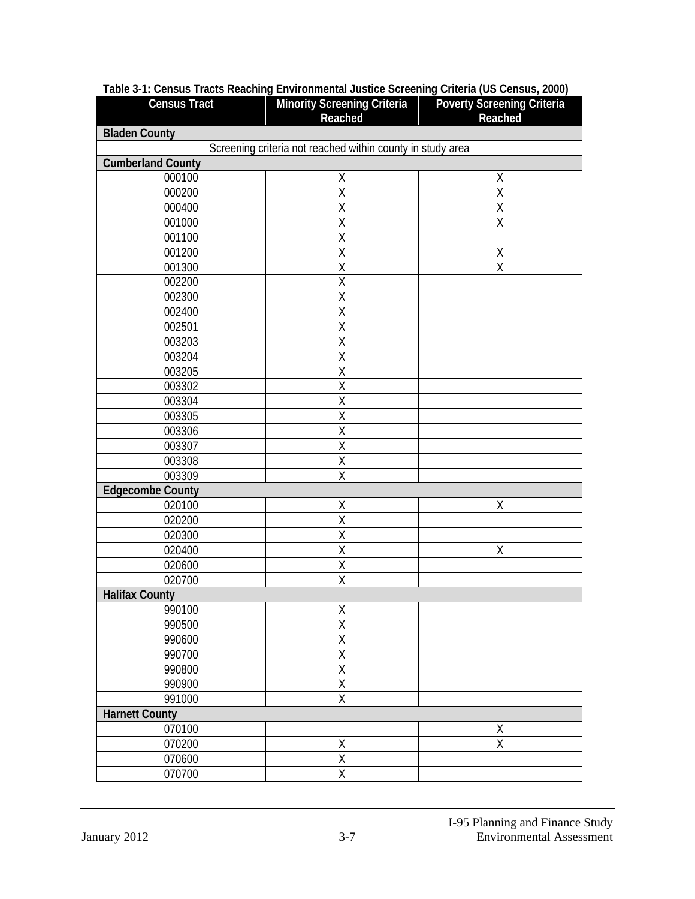| <b>Census Tract</b>      | <b>Minority Screening Criteria</b><br>Reached              | <b>Poverty Screening Criteria</b><br>Reached |
|--------------------------|------------------------------------------------------------|----------------------------------------------|
| <b>Bladen County</b>     |                                                            |                                              |
|                          | Screening criteria not reached within county in study area |                                              |
| <b>Cumberland County</b> |                                                            |                                              |
| 000100                   | Χ                                                          | Χ                                            |
| 000200                   | Χ                                                          | Χ                                            |
| 000400                   | $\overline{\mathsf{X}}$                                    | $\overline{\mathsf{X}}$                      |
| 001000                   | Χ                                                          | $\sf X$                                      |
| 001100                   | $\overline{\mathsf{X}}$                                    |                                              |
| 001200                   | Χ                                                          | Χ                                            |
| 001300                   | $\overline{\mathsf{X}}$                                    | $\overline{\mathsf{X}}$                      |
| 002200                   | Χ                                                          |                                              |
| 002300                   | $\overline{X}$                                             |                                              |
| 002400                   | Χ                                                          |                                              |
| 002501                   | $\overline{\mathsf{X}}$                                    |                                              |
| 003203                   | Χ                                                          |                                              |
| 003204                   | $\overline{X}$                                             |                                              |
| 003205                   | $\overline{X}$                                             |                                              |
| 003302                   | $\overline{\mathsf{X}}$                                    |                                              |
| 003304                   | Χ                                                          |                                              |
| 003305                   | $\overline{\mathsf{X}}$                                    |                                              |
| 003306                   | Χ                                                          |                                              |
| 003307                   | $\overline{\mathsf{X}}$                                    |                                              |
| 003308                   | Χ                                                          |                                              |
| 003309                   | $\overline{\mathsf{X}}$                                    |                                              |
| <b>Edgecombe County</b>  |                                                            |                                              |
| 020100                   | Χ                                                          | $\sf X$                                      |
| 020200                   | Χ                                                          |                                              |
| 020300                   | $\overline{X}$                                             |                                              |
| 020400                   | Χ                                                          | Χ                                            |
| 020600                   | $\overline{\mathsf{X}}$                                    |                                              |
| 020700                   | $\overline{\mathsf{X}}$                                    |                                              |
| <b>Halifax County</b>    |                                                            |                                              |
| 990100                   | X                                                          |                                              |
| 990500                   | $\overline{\mathsf{X}}$                                    |                                              |
| 990600                   | $\overline{X}$                                             |                                              |
| 990700                   | $\overline{\mathsf{X}}$                                    |                                              |
| 990800                   | $\overline{\mathsf{X}}$                                    |                                              |
| 990900                   | $\overline{\mathsf{X}}$                                    |                                              |
| 991000                   | $\overline{X}$                                             |                                              |
| <b>Harnett County</b>    |                                                            |                                              |
| 070100                   |                                                            | Χ                                            |
| 070200                   | $\overline{X}$                                             | $\overline{X}$                               |
| 070600                   | X                                                          |                                              |
| 070700                   | $\overline{\mathsf{X}}$                                    |                                              |
|                          |                                                            |                                              |

#### **Table 3-1: Census Tracts Reaching Environmental Justice Screening Criteria (US Census, 2000)**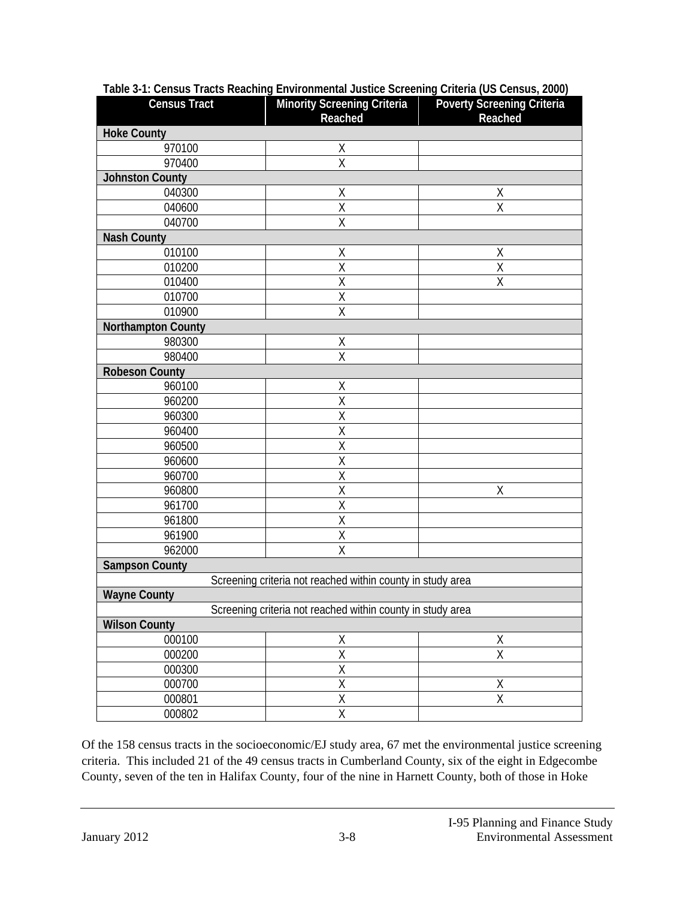| <b>Census Tract</b>       | <b>Minority Screening Criteria</b><br>Reached              | <b>Poverty Screening Criteria</b><br>Reached |  |
|---------------------------|------------------------------------------------------------|----------------------------------------------|--|
| <b>Hoke County</b>        |                                                            |                                              |  |
| 970100                    | Χ                                                          |                                              |  |
| 970400                    | X                                                          |                                              |  |
| <b>Johnston County</b>    |                                                            |                                              |  |
| 040300                    | Χ                                                          | Χ                                            |  |
| 040600                    | $\overline{\mathsf{x}}$                                    | X                                            |  |
| 040700                    | X                                                          |                                              |  |
| <b>Nash County</b>        |                                                            |                                              |  |
| 010100                    | Χ                                                          | Χ                                            |  |
| 010200                    | $\overline{\mathsf{x}}$                                    | X                                            |  |
| 010400                    | Χ                                                          | Χ                                            |  |
| 010700                    | $\overline{\mathsf{X}}$                                    |                                              |  |
| 010900                    | Χ                                                          |                                              |  |
| <b>Northampton County</b> |                                                            |                                              |  |
| 980300                    | Χ                                                          |                                              |  |
| 980400                    | $\overline{\mathsf{x}}$                                    |                                              |  |
| <b>Robeson County</b>     |                                                            |                                              |  |
| 960100                    | Χ                                                          |                                              |  |
| 960200                    | Χ                                                          |                                              |  |
| 960300                    | $\overline{\mathsf{X}}$                                    |                                              |  |
| 960400                    | $\overline{\mathsf{X}}$                                    |                                              |  |
| 960500                    | $\overline{\mathsf{X}}$                                    |                                              |  |
| 960600                    | X                                                          |                                              |  |
| 960700                    | $\overline{\mathsf{X}}$                                    |                                              |  |
| 960800                    | Χ                                                          | Χ                                            |  |
| 961700                    | $\overline{\mathsf{X}}$                                    |                                              |  |
| 961800                    | Χ                                                          |                                              |  |
| 961900                    | $\overline{\mathsf{X}}$                                    |                                              |  |
| 962000                    | X                                                          |                                              |  |
| <b>Sampson County</b>     |                                                            |                                              |  |
|                           | Screening criteria not reached within county in study area |                                              |  |
| <b>Wayne County</b>       |                                                            |                                              |  |
|                           | Screening criteria not reached within county in study area |                                              |  |
| <b>Wilson County</b>      |                                                            |                                              |  |
| 000100                    | <u>Х</u>                                                   |                                              |  |
| 000200                    | $\overline{\mathsf{X}}$                                    | $\frac{X}{X}$                                |  |
| 000300                    | $\overline{\mathsf{X}}$                                    |                                              |  |
| 000700                    | $\overline{\mathsf{X}}$                                    | Χ                                            |  |
| 000801                    | $\frac{\overline{X}}{\overline{X}}$                        | $\overline{\mathsf{X}}$                      |  |
| 000802                    |                                                            |                                              |  |

#### **Table 3-1: Census Tracts Reaching Environmental Justice Screening Criteria (US Census, 2000)**

Of the 158 census tracts in the socioeconomic/EJ study area, 67 met the environmental justice screening criteria. This included 21 of the 49 census tracts in Cumberland County, six of the eight in Edgecombe County, seven of the ten in Halifax County, four of the nine in Harnett County, both of those in Hoke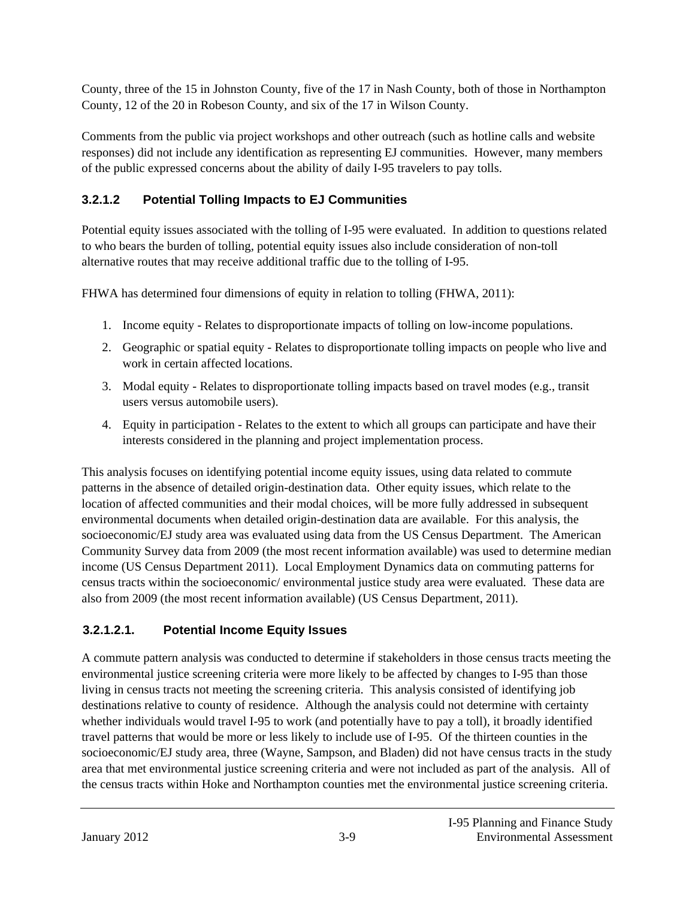County, three of the 15 in Johnston County, five of the 17 in Nash County, both of those in Northampton County, 12 of the 20 in Robeson County, and six of the 17 in Wilson County.

Comments from the public via project workshops and other outreach (such as hotline calls and website responses) did not include any identification as representing EJ communities. However, many members of the public expressed concerns about the ability of daily I-95 travelers to pay tolls.

### **3.2.1.2 Potential Tolling Impacts to EJ Communities**

Potential equity issues associated with the tolling of I-95 were evaluated. In addition to questions related to who bears the burden of tolling, potential equity issues also include consideration of non-toll alternative routes that may receive additional traffic due to the tolling of I-95.

FHWA has determined four dimensions of equity in relation to tolling (FHWA, 2011):

- 1. Income equity Relates to disproportionate impacts of tolling on low-income populations.
- 2. Geographic or spatial equity Relates to disproportionate tolling impacts on people who live and work in certain affected locations.
- 3. Modal equity Relates to disproportionate tolling impacts based on travel modes (e.g., transit users versus automobile users).
- 4. Equity in participation Relates to the extent to which all groups can participate and have their interests considered in the planning and project implementation process.

This analysis focuses on identifying potential income equity issues, using data related to commute patterns in the absence of detailed origin-destination data. Other equity issues, which relate to the location of affected communities and their modal choices, will be more fully addressed in subsequent environmental documents when detailed origin-destination data are available. For this analysis, the socioeconomic/EJ study area was evaluated using data from the US Census Department. The American Community Survey data from 2009 (the most recent information available) was used to determine median income (US Census Department 2011). Local Employment Dynamics data on commuting patterns for census tracts within the socioeconomic/ environmental justice study area were evaluated. These data are also from 2009 (the most recent information available) (US Census Department, 2011).

# **3.2.1.2.1. Potential Income Equity Issues**

A commute pattern analysis was conducted to determine if stakeholders in those census tracts meeting the environmental justice screening criteria were more likely to be affected by changes to I-95 than those living in census tracts not meeting the screening criteria. This analysis consisted of identifying job destinations relative to county of residence. Although the analysis could not determine with certainty whether individuals would travel I-95 to work (and potentially have to pay a toll), it broadly identified travel patterns that would be more or less likely to include use of I-95. Of the thirteen counties in the socioeconomic/EJ study area, three (Wayne, Sampson, and Bladen) did not have census tracts in the study area that met environmental justice screening criteria and were not included as part of the analysis. All of the census tracts within Hoke and Northampton counties met the environmental justice screening criteria.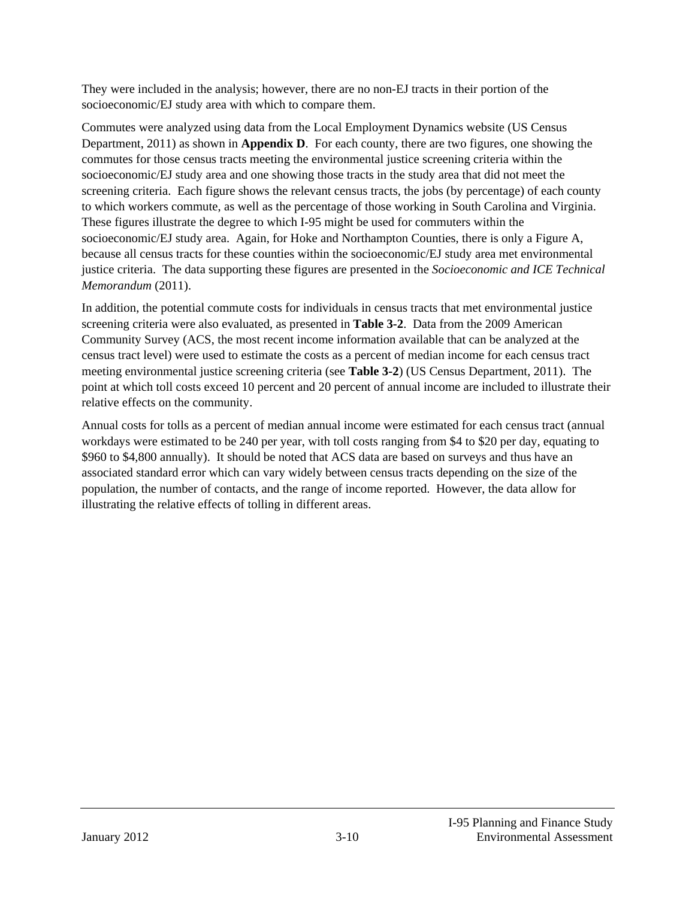They were included in the analysis; however, there are no non-EJ tracts in their portion of the socioeconomic/EJ study area with which to compare them.

Commutes were analyzed using data from the Local Employment Dynamics website (US Census Department, 2011) as shown in **Appendix D**. For each county, there are two figures, one showing the commutes for those census tracts meeting the environmental justice screening criteria within the socioeconomic/EJ study area and one showing those tracts in the study area that did not meet the screening criteria. Each figure shows the relevant census tracts, the jobs (by percentage) of each county to which workers commute, as well as the percentage of those working in South Carolina and Virginia. These figures illustrate the degree to which I-95 might be used for commuters within the socioeconomic/EJ study area. Again, for Hoke and Northampton Counties, there is only a Figure A, because all census tracts for these counties within the socioeconomic/EJ study area met environmental justice criteria. The data supporting these figures are presented in the *Socioeconomic and ICE Technical Memorandum* (2011).

In addition, the potential commute costs for individuals in census tracts that met environmental justice screening criteria were also evaluated, as presented in **Table 3-2**. Data from the 2009 American Community Survey (ACS, the most recent income information available that can be analyzed at the census tract level) were used to estimate the costs as a percent of median income for each census tract meeting environmental justice screening criteria (see **Table 3-2**) (US Census Department, 2011). The point at which toll costs exceed 10 percent and 20 percent of annual income are included to illustrate their relative effects on the community.

Annual costs for tolls as a percent of median annual income were estimated for each census tract (annual workdays were estimated to be 240 per year, with toll costs ranging from \$4 to \$20 per day, equating to \$960 to \$4,800 annually). It should be noted that ACS data are based on surveys and thus have an associated standard error which can vary widely between census tracts depending on the size of the population, the number of contacts, and the range of income reported. However, the data allow for illustrating the relative effects of tolling in different areas.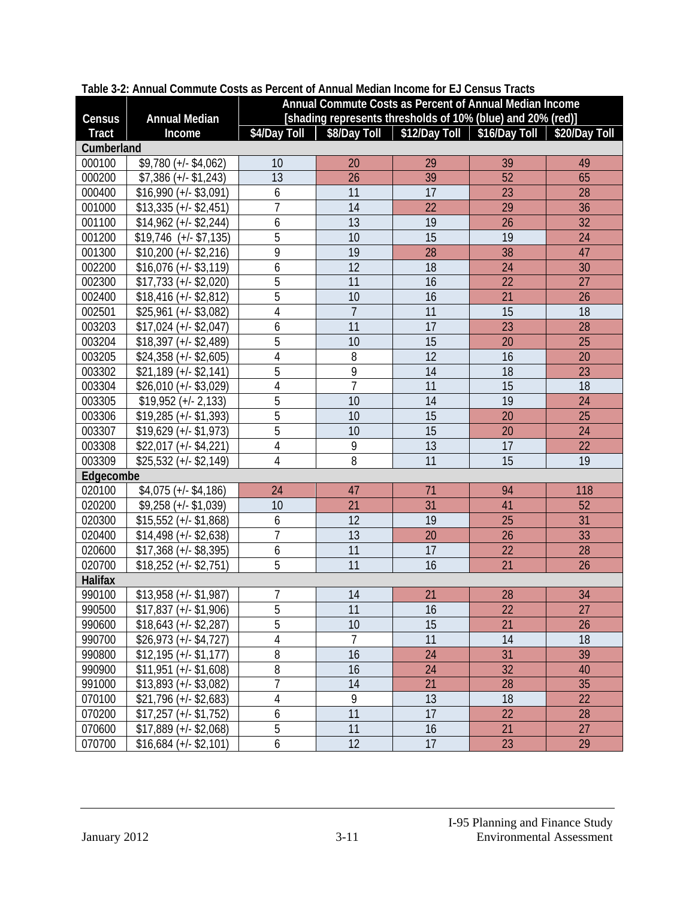|                |                           | Annual Commute Costs as Percent of Annual Median Income |                                                             |                 |                 |                 |
|----------------|---------------------------|---------------------------------------------------------|-------------------------------------------------------------|-----------------|-----------------|-----------------|
| Census         | <b>Annual Median</b>      |                                                         | [shading represents thresholds of 10% (blue) and 20% (red)] |                 |                 |                 |
| <b>Tract</b>   | Income                    | \$4/Day Toll                                            | \$8/Day Toll                                                | \$12/Day Toll   | \$16/Day Toll   | \$20/Day Toll   |
| Cumberland     |                           |                                                         |                                                             |                 |                 |                 |
| 000100         | $$9,780 (+/- $4,062)$     | 10                                                      | 20                                                          | 29              | 39              | 49              |
| 000200         | $$7,386 (+/- $1,243)$     | 13                                                      | 26                                                          | 39              | 52              | 65              |
| 000400         | $$16,990 (+/- $3,091)$    | 6                                                       | 11                                                          | 17              | 23              | 28              |
| 001000         | $$13,335 (+/- $2,451)$    | $\overline{7}$                                          | 14                                                          | 22              | 29              | 36              |
| 001100         | $$14,962 (+/- $2,244)$    | 6                                                       | 13                                                          | 19              | 26              | 32              |
| 001200         | $$19,746$ (+/- \$7,135)   | 5                                                       | 10                                                          | 15              | 19              | 24              |
| 001300         | $$10,200 (+/- $2,216)$    | 9                                                       | 19                                                          | 28              | 38              | 47              |
| 002200         | $$16,076 (+/- $3,119)$    | 6                                                       | 12                                                          | 18              | 24              | 30              |
| 002300         | $$17,733 (+/- $2,020)$    | $\overline{5}$                                          | $\overline{11}$                                             | 16              | 22              | 27              |
| 002400         | $$18,416 (+/- $2,812)$    | 5                                                       | 10                                                          | 16              | 21              | 26              |
| 002501         | $$25,961 (+/- $3,082)$    | $\overline{4}$                                          | $\overline{7}$                                              | 11              | 15              | 18              |
| 003203         | $$17,024 (+/- $2,047)$    | 6                                                       | 11                                                          | 17              | 23              | 28              |
| 003204         | $$18,397 (+/- $2,489)$    | $\overline{5}$                                          | 10                                                          | 15              | 20              | 25              |
| 003205         | $$24,358 (+/- $2,605)$    | $\overline{4}$                                          | 8                                                           | 12              | 16              | 20              |
| 003302         | $$21,189$ (+/- \$2,141)   | 5                                                       | $\overline{9}$                                              | 14              | 18              | 23              |
| 003304         | $$26,010 (+/- $3,029)$    | $\overline{4}$                                          | $\overline{1}$                                              | 11              | 15              | 18              |
| 003305         | $$19,952 (+/- 2,133)$     | $\overline{5}$                                          | 10                                                          | 14              | $\overline{19}$ | 24              |
| 003306         | $$19,285 (+/- $1,393)$    | 5                                                       | 10                                                          | 15              | 20              | 25              |
| 003307         | $$19,629 (+/- $1,973)$    | 5                                                       | 10                                                          | 15              | 20              | 24              |
| 003308         | $$22,017 (+/- $4,221)$    | $\overline{4}$                                          | 9                                                           | 13              | 17              | 22              |
| 003309         | $$25,532 (+/- $2,149)$    | $\overline{4}$                                          | 8                                                           | $\overline{11}$ | $\overline{15}$ | 19              |
| Edgecombe      |                           |                                                         |                                                             |                 |                 |                 |
| 020100         | $$4,075 (+/- $4,186)$     | 24                                                      | 47                                                          | 71              | 94              | 118             |
| 020200         | $$9,258 (+/- $1,039)$     | 10                                                      | 21                                                          | 31              | 41              | 52              |
| 020300         | $$15,552$ (+/- $$1,868$ ) | 6                                                       | 12                                                          | 19              | 25              | 31              |
| 020400         | $$14,498 (+/- $2,638)$    | $\overline{1}$                                          | 13                                                          | 20              | 26              | 33              |
| 020600         | $$17,368 (+/- $8,395)$    | 6                                                       | 11                                                          | 17              | 22              | 28              |
| 020700         | $$18,252$ (+/- \$2,751)   | 5                                                       | 11                                                          | 16              | 21              | 26              |
| <b>Halifax</b> |                           |                                                         |                                                             |                 |                 |                 |
| 990100         | $$13,958 (+/- $1,987)$    | $\overline{1}$                                          | 14                                                          | 21              | 28              | 34              |
| 990500         | $$17,837 (+/- $1,906)$    | $\overline{5}$                                          | $\overline{11}$                                             | $\overline{16}$ | $\overline{22}$ | $\overline{27}$ |
| 990600         | $$18,643 (+/- $2,287)$    | 5                                                       | 10                                                          | 15              | 21              | 26              |
| 990700         | $$26,973 (+/- $4,727)$    | 4                                                       | $\overline{7}$                                              | 11              | 14              | 18              |
| 990800         | $$12,195 (+/- $1,177)$    | 8                                                       | 16                                                          | 24              | 31              | 39              |
| 990900         | $$11,951 (+/- $1,608)$    | 8                                                       | 16                                                          | 24              | 32              | 40              |
| 991000         | $$13,893 (+/- $3,082)$    | $\overline{7}$                                          | 14                                                          | 21              | 28              | 35              |
| 070100         | $$21,796 (+/- $2,683)$    | $\overline{4}$                                          | 9                                                           | 13              | 18              | 22              |
| 070200         | $$17,257 (+/- $1,752)$    | 6                                                       | 11                                                          | 17              | 22              | 28              |
| 070600         | $$17,889$ (+/- \$2,068)   | 5                                                       | 11                                                          | 16              | 21              | 27              |
| 070700         | $$16,684 (+/- $2,101)$    | 6                                                       | 12                                                          | 17              | 23              | 29              |

#### **Table 3-2: Annual Commute Costs as Percent of Annual Median Income for EJ Census Tracts**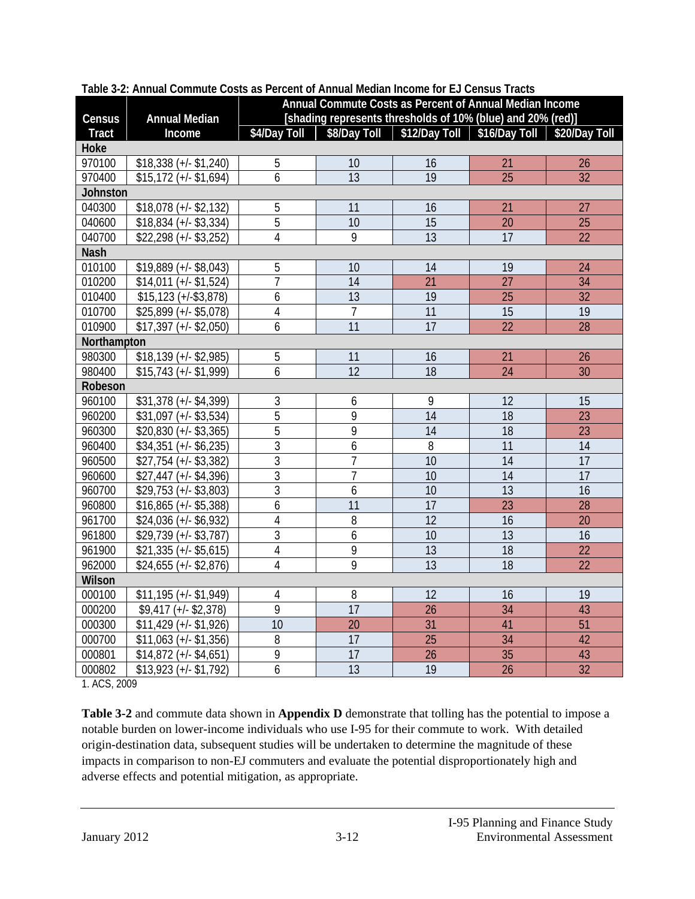| Census       | <b>Annual Median</b>      | Annual Commute Costs as Percent of Annual Median Income<br>[shading represents thresholds of 10% (blue) and 20% (red)] |                 |                                                                             |                 |                 |  |
|--------------|---------------------------|------------------------------------------------------------------------------------------------------------------------|-----------------|-----------------------------------------------------------------------------|-----------------|-----------------|--|
| <b>Tract</b> | Income                    |                                                                                                                        |                 | \$4/Day Toll   \$8/Day Toll   \$12/Day Toll   \$16/Day Toll   \$20/Day Toll |                 |                 |  |
| Hoke         |                           |                                                                                                                        |                 |                                                                             |                 |                 |  |
| 970100       | $$18,338 (+/- $1,240)$    | 5                                                                                                                      | 10              | 16                                                                          | 21              | 26              |  |
| 970400       | $$15,172$ (+/- $$1,694$ ) | 6                                                                                                                      | $\overline{13}$ | $\overline{19}$                                                             | $\overline{25}$ | 32              |  |
| Johnston     |                           |                                                                                                                        |                 |                                                                             |                 |                 |  |
| 040300       | $$18,078 (+/- $2,132)$    | 5                                                                                                                      | 11              | 16                                                                          | 21              | 27              |  |
| 040600       | $$18,834 (+/- $3,334)$    | $\overline{5}$                                                                                                         | 10              | 15                                                                          | 20              | 25              |  |
| 040700       | $$22,298 (+/- $3,252)$    | 4                                                                                                                      | 9               | 13                                                                          | 17              | 22              |  |
| <b>Nash</b>  |                           |                                                                                                                        |                 |                                                                             |                 |                 |  |
| 010100       | $$19,889$ (+/- $$8,043$ ) | 5                                                                                                                      | 10              | 14                                                                          | 19              | 24              |  |
| 010200       | $$14,011 (+/- $1,524)$    | $\overline{1}$                                                                                                         | 14              | 21                                                                          | 27              | 34              |  |
| 010400       | $$15,123 (+/- $3,878)$    | 6                                                                                                                      | $\overline{13}$ | 19                                                                          | $\overline{25}$ | $\overline{32}$ |  |
| 010700       | $$25,899 (+/- $5,078)$    | $\overline{4}$                                                                                                         | $\overline{7}$  | 11                                                                          | $\overline{15}$ | $\overline{19}$ |  |
| 010900       | $$17,397 (+/- $2,050)$    | 6                                                                                                                      | 11              | 17                                                                          | 22              | 28              |  |
| Northampton  |                           |                                                                                                                        |                 |                                                                             |                 |                 |  |
| 980300       | $$18,139$ (+/- \$2,985)   | 5                                                                                                                      | 11              | 16                                                                          | 21              | 26              |  |
| 980400       | $$15,743 (+/- $1,999)$    | 6                                                                                                                      | 12              | 18                                                                          | 24              | 30              |  |
| Robeson      |                           |                                                                                                                        |                 |                                                                             |                 |                 |  |
| 960100       | $$31,378$ (+/- \$4,399)   | $\sqrt{3}$                                                                                                             | 6               | 9                                                                           | 12              | 15              |  |
| 960200       | $$31,097$ (+/- $$3,534$ ) | 5                                                                                                                      | 9               | 14                                                                          | 18              | 23              |  |
| 960300       | $$20,830 (+/- $3,365)$    | $\overline{5}$                                                                                                         | 9               | $\overline{14}$                                                             | $\overline{18}$ | $\overline{23}$ |  |
| 960400       | $$34,351 (+/- $6,235)$    | $\overline{3}$                                                                                                         | 6               | $\overline{8}$                                                              | $\overline{11}$ | $\overline{14}$ |  |
| 960500       | $$27,754 (+/- $3,382)$    | 3                                                                                                                      | 7               | 10                                                                          | 14              | 17              |  |
| 960600       | $$27,447 (+/- $4,396)$    | $\overline{3}$                                                                                                         | $\overline{7}$  | 10                                                                          | $\overline{14}$ | $\overline{17}$ |  |
| 960700       | $$29,753 (+/- $3,803)$    | $\overline{3}$                                                                                                         | 6               | 10                                                                          | $\overline{13}$ | $\overline{16}$ |  |
| 960800       | $$16,865 (+/- $5,388)$    | 6                                                                                                                      | 11              | 17                                                                          | 23              | 28              |  |
| 961700       | $$24,036 (+/- $6,932)$    | $\overline{4}$                                                                                                         | 8               | $\overline{12}$                                                             | 16              | 20              |  |
| 961800       | $$29,739 (+/- $3,787)$    | 3                                                                                                                      | 6               | 10                                                                          | $\overline{13}$ | 16              |  |
| 961900       | $$21,335 (+/- $5,615)$    | $\sqrt{4}$                                                                                                             | 9               | 13                                                                          | 18              | 22              |  |
| 962000       | $$24,655 (+/- $2,876)$    | $\overline{4}$                                                                                                         | $\overline{9}$  | $\overline{13}$                                                             | 18              | 22              |  |
| Wilson       |                           |                                                                                                                        |                 |                                                                             |                 |                 |  |
| 000100       | $$11,195 (+/- $1,949)$    | 4                                                                                                                      | 8               | 12                                                                          | 16              | 19              |  |
| 000200       | $$9,417 (+/- $2,378)$     | 9                                                                                                                      | $\overline{17}$ | 26                                                                          | 34              | 43              |  |
| 000300       | $$11,429$ (+/- \$1,926)   | 10                                                                                                                     | 20              | 31                                                                          | 41              | 51              |  |
| 000700       | $$11,063 (+/- $1,356)$    | 8                                                                                                                      | $\overline{17}$ | 25                                                                          | 34              | 42              |  |
| 000801       | $$14,872 (+/- $4,651)$    | $\overline{9}$                                                                                                         | $\overline{17}$ | 26                                                                          | 35              | 43              |  |
| 000802       | $$13,923 (+/- $1,792)$    | 6                                                                                                                      | $\overline{13}$ | 19                                                                          | $\overline{26}$ | $\overline{32}$ |  |

**Table 3-2: Annual Commute Costs as Percent of Annual Median Income for EJ Census Tracts** 

1. ACS, 2009

**Table 3-2** and commute data shown in **Appendix D** demonstrate that tolling has the potential to impose a notable burden on lower-income individuals who use I-95 for their commute to work. With detailed origin-destination data, subsequent studies will be undertaken to determine the magnitude of these impacts in comparison to non-EJ commuters and evaluate the potential disproportionately high and adverse effects and potential mitigation, as appropriate.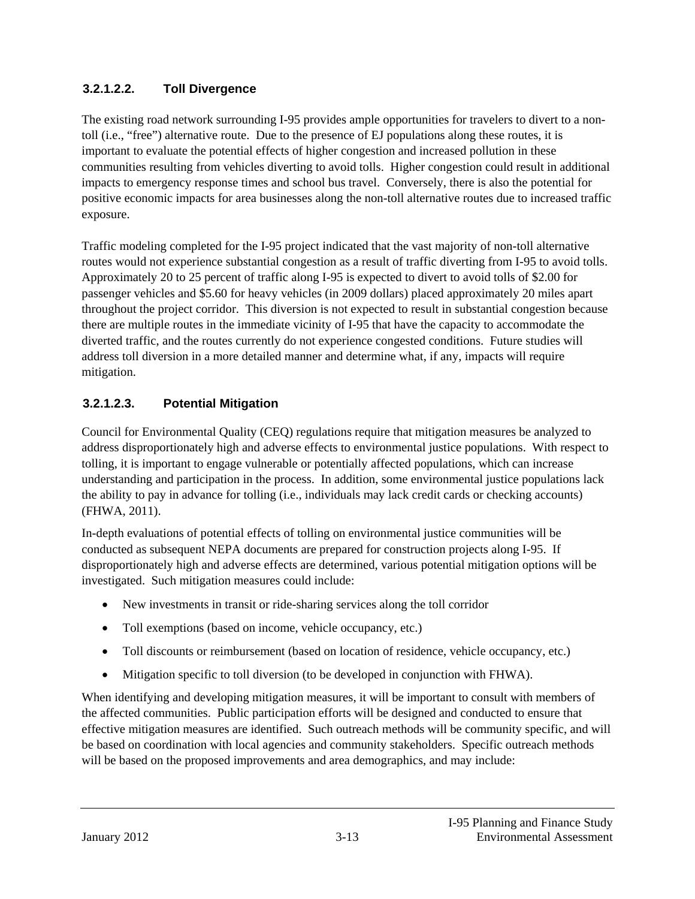#### **3.2.1.2.2. Toll Divergence**

The existing road network surrounding I-95 provides ample opportunities for travelers to divert to a nontoll (i.e., "free") alternative route. Due to the presence of EJ populations along these routes, it is important to evaluate the potential effects of higher congestion and increased pollution in these communities resulting from vehicles diverting to avoid tolls. Higher congestion could result in additional impacts to emergency response times and school bus travel. Conversely, there is also the potential for positive economic impacts for area businesses along the non-toll alternative routes due to increased traffic exposure.

Traffic modeling completed for the I-95 project indicated that the vast majority of non-toll alternative routes would not experience substantial congestion as a result of traffic diverting from I-95 to avoid tolls. Approximately 20 to 25 percent of traffic along I-95 is expected to divert to avoid tolls of \$2.00 for passenger vehicles and \$5.60 for heavy vehicles (in 2009 dollars) placed approximately 20 miles apart throughout the project corridor. This diversion is not expected to result in substantial congestion because there are multiple routes in the immediate vicinity of I-95 that have the capacity to accommodate the diverted traffic, and the routes currently do not experience congested conditions. Future studies will address toll diversion in a more detailed manner and determine what, if any, impacts will require mitigation.

### **3.2.1.2.3. Potential Mitigation**

Council for Environmental Quality (CEQ) regulations require that mitigation measures be analyzed to address disproportionately high and adverse effects to environmental justice populations. With respect to tolling, it is important to engage vulnerable or potentially affected populations, which can increase understanding and participation in the process. In addition, some environmental justice populations lack the ability to pay in advance for tolling (i.e., individuals may lack credit cards or checking accounts) (FHWA, 2011).

In-depth evaluations of potential effects of tolling on environmental justice communities will be conducted as subsequent NEPA documents are prepared for construction projects along I-95. If disproportionately high and adverse effects are determined, various potential mitigation options will be investigated. Such mitigation measures could include:

- New investments in transit or ride-sharing services along the toll corridor
- Toll exemptions (based on income, vehicle occupancy, etc.)
- Toll discounts or reimbursement (based on location of residence, vehicle occupancy, etc.)
- Mitigation specific to toll diversion (to be developed in conjunction with FHWA).

When identifying and developing mitigation measures, it will be important to consult with members of the affected communities. Public participation efforts will be designed and conducted to ensure that effective mitigation measures are identified. Such outreach methods will be community specific, and will be based on coordination with local agencies and community stakeholders. Specific outreach methods will be based on the proposed improvements and area demographics, and may include: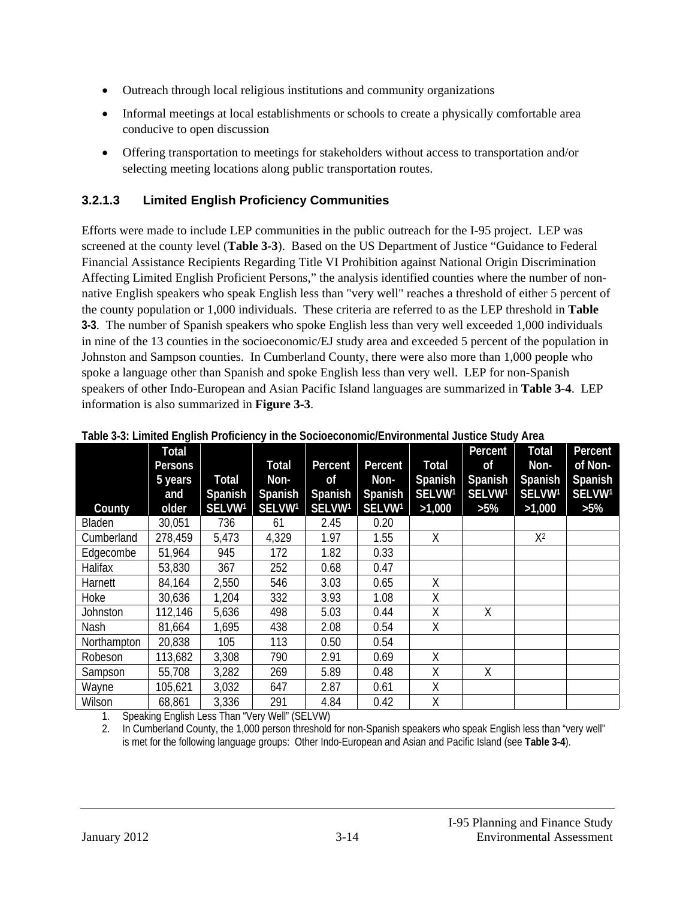- Outreach through local religious institutions and community organizations
- Informal meetings at local establishments or schools to create a physically comfortable area conducive to open discussion
- Offering transportation to meetings for stakeholders without access to transportation and/or selecting meeting locations along public transportation routes.

#### **3.2.1.3 Limited English Proficiency Communities**

Efforts were made to include LEP communities in the public outreach for the I-95 project. LEP was screened at the county level (**Table 3-3**). Based on the US Department of Justice "Guidance to Federal Financial Assistance Recipients Regarding Title VI Prohibition against National Origin Discrimination Affecting Limited English Proficient Persons," the analysis identified counties where the number of nonnative English speakers who speak English less than "very well" reaches a threshold of either 5 percent of the county population or 1,000 individuals. These criteria are referred to as the LEP threshold in **Table 3-3**. The number of Spanish speakers who spoke English less than very well exceeded 1,000 individuals in nine of the 13 counties in the socioeconomic/EJ study area and exceeded 5 percent of the population in Johnston and Sampson counties. In Cumberland County, there were also more than 1,000 people who spoke a language other than Spanish and spoke English less than very well. LEP for non-Spanish speakers of other Indo-European and Asian Pacific Island languages are summarized in **Table 3-4**. LEP information is also summarized in **Figure 3-3**.

| Table of a Ellinted English Fronciency in the socioeconomic/Environmental sastice staay Area |                         |                    |         |                    |         |         |               |               |                    |
|----------------------------------------------------------------------------------------------|-------------------------|--------------------|---------|--------------------|---------|---------|---------------|---------------|--------------------|
|                                                                                              | Total<br><b>Persons</b> |                    | Total   | Percent            | Percent | Total   | Percent<br>0f | Total<br>Non- | Percent<br>of Non- |
|                                                                                              | 5 years                 | <b>Total</b>       | Non-    | 0f                 | Non-    | Spanish | Spanish       | Spanish       | Spanish            |
|                                                                                              | and                     | Spanish            | Spanish | Spanish            | Spanish | SELVW1  | SELVW1        | SELVW1        | SELVW <sup>1</sup> |
| County                                                                                       | older                   | SELVW <sup>1</sup> | SELVW1  | SELVW <sup>1</sup> | SELVW1  | >1,000  | $>5\%$        | >1,000        | $>5\%$             |
| Bladen                                                                                       | 30,051                  | 736                | 61      | 2.45               | 0.20    |         |               |               |                    |
| Cumberland                                                                                   | 278,459                 | 5,473              | 4,329   | 1.97               | 1.55    | Χ       |               | $X^2$         |                    |
| Edgecombe                                                                                    | 51,964                  | 945                | 172     | 1.82               | 0.33    |         |               |               |                    |
| Halifax                                                                                      | 53,830                  | 367                | 252     | 0.68               | 0.47    |         |               |               |                    |
| Harnett                                                                                      | 84,164                  | 2,550              | 546     | 3.03               | 0.65    | Χ       |               |               |                    |
| Hoke                                                                                         | 30,636                  | 1,204              | 332     | 3.93               | 1.08    | Χ       |               |               |                    |
| Johnston                                                                                     | 112,146                 | 5,636              | 498     | 5.03               | 0.44    | Χ       | X             |               |                    |
| Nash                                                                                         | 81,664                  | 1,695              | 438     | 2.08               | 0.54    | Χ       |               |               |                    |
| Northampton                                                                                  | 20,838                  | 105                | 113     | 0.50               | 0.54    |         |               |               |                    |
| Robeson                                                                                      | 113,682                 | 3,308              | 790     | 2.91               | 0.69    | Χ       |               |               |                    |
| Sampson                                                                                      | 55,708                  | 3,282              | 269     | 5.89               | 0.48    | Χ       | X             |               |                    |
| Wayne                                                                                        | 105,621                 | 3,032              | 647     | 2.87               | 0.61    | Χ       |               |               |                    |
| Wilson                                                                                       | 68,861                  | 3,336              | 291     | 4.84               | 0.42    | Χ       |               |               |                    |

**Table 3-3: Limited English Proficiency in the Socioeconomic/Environmental Justice Study Area** 

1. Speaking English Less Than "Very Well" (SELVW)

2. In Cumberland County, the 1,000 person threshold for non-Spanish speakers who speak English less than "very well" is met for the following language groups: Other Indo-European and Asian and Pacific Island (see **Table 3-4**).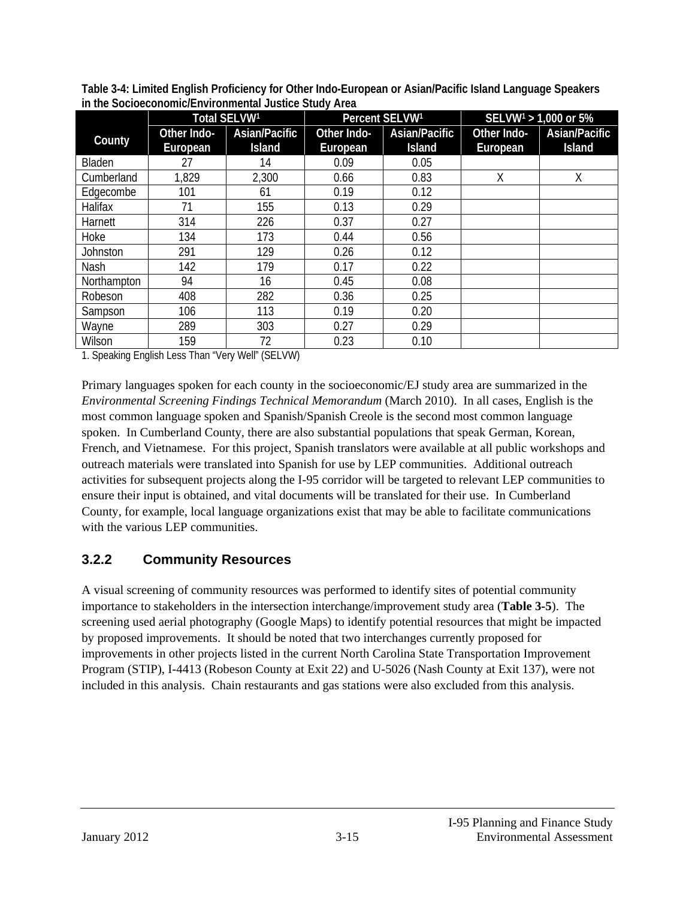|                 |             | Total SELVW1  | Percent SELVW <sup>1</sup> |               |             | SELVW <sup>1</sup> > 1,000 or 5% |
|-----------------|-------------|---------------|----------------------------|---------------|-------------|----------------------------------|
| County          | Other Indo- | Asian/Pacific | Other Indo-                | Asian/Pacific | Other Indo- | Asian/Pacific                    |
|                 | European    | <b>Island</b> | European                   | <b>Island</b> | European    | <b>Island</b>                    |
| Bladen          | 27          | 14            | 0.09                       | 0.05          |             |                                  |
| Cumberland      | 1,829       | 2,300         | 0.66                       | 0.83          | Χ           | Χ                                |
| Edgecombe       | 101         | 61            | 0.19                       | 0.12          |             |                                  |
| Halifax         | 71          | 155           | 0.13                       | 0.29          |             |                                  |
| Harnett         | 314         | 226           | 0.37                       | 0.27          |             |                                  |
| Hoke            | 134         | 173           | 0.44                       | 0.56          |             |                                  |
| <b>Johnston</b> | 291         | 129           | 0.26                       | 0.12          |             |                                  |
| Nash            | 142         | 179           | 0.17                       | 0.22          |             |                                  |
| Northampton     | 94          | 16            | 0.45                       | 0.08          |             |                                  |
| Robeson         | 408         | 282           | 0.36                       | 0.25          |             |                                  |
| Sampson         | 106         | 113           | 0.19                       | 0.20          |             |                                  |
| Wayne           | 289         | 303           | 0.27                       | 0.29          |             |                                  |
| Wilson          | 159         | 72            | 0.23                       | 0.10          |             |                                  |

**Table 3-4: Limited English Proficiency for Other Indo-European or Asian/Pacific Island Language Speakers in the Socioeconomic/Environmental Justice Study Area** 

1. Speaking English Less Than "Very Well" (SELVW)

Primary languages spoken for each county in the socioeconomic/EJ study area are summarized in the *Environmental Screening Findings Technical Memorandum* (March 2010). In all cases, English is the most common language spoken and Spanish/Spanish Creole is the second most common language spoken. In Cumberland County, there are also substantial populations that speak German, Korean, French, and Vietnamese. For this project, Spanish translators were available at all public workshops and outreach materials were translated into Spanish for use by LEP communities. Additional outreach activities for subsequent projects along the I-95 corridor will be targeted to relevant LEP communities to ensure their input is obtained, and vital documents will be translated for their use. In Cumberland County, for example, local language organizations exist that may be able to facilitate communications with the various LEP communities.

#### **3.2.2 Community Resources**

A visual screening of community resources was performed to identify sites of potential community importance to stakeholders in the intersection interchange/improvement study area (**Table 3-5**). The screening used aerial photography (Google Maps) to identify potential resources that might be impacted by proposed improvements. It should be noted that two interchanges currently proposed for improvements in other projects listed in the current North Carolina State Transportation Improvement Program (STIP), I-4413 (Robeson County at Exit 22) and U-5026 (Nash County at Exit 137), were not included in this analysis. Chain restaurants and gas stations were also excluded from this analysis.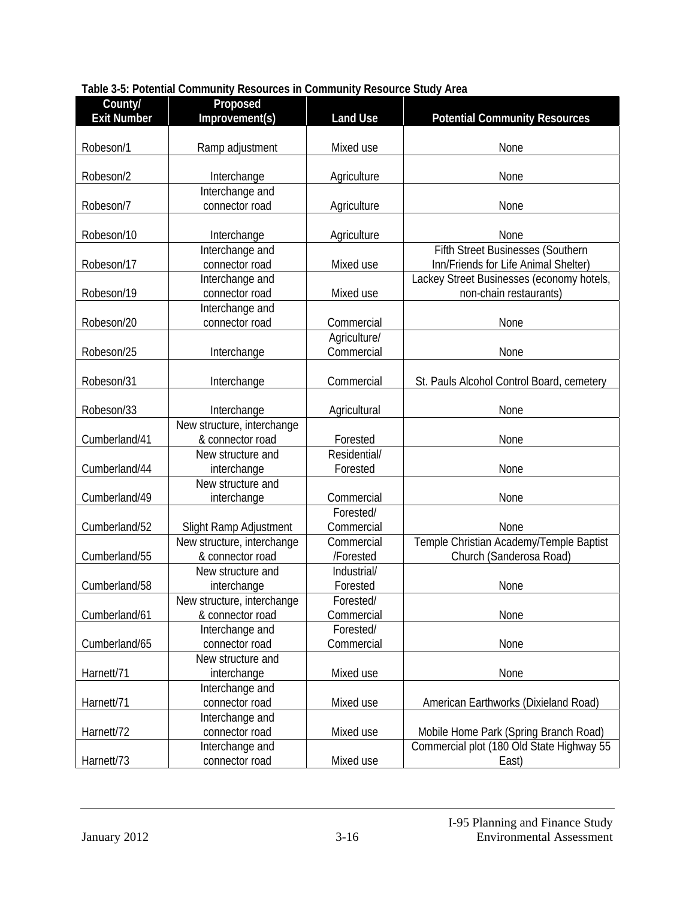| County/<br><b>Exit Number</b> | Proposed<br>Improvement(s)                     | <b>Land Use</b>         | <b>Potential Community Resources</b>                                |
|-------------------------------|------------------------------------------------|-------------------------|---------------------------------------------------------------------|
|                               |                                                |                         |                                                                     |
| Robeson/1                     | Ramp adjustment                                | Mixed use               | None                                                                |
| Robeson/2                     | Interchange                                    | Agriculture             | None                                                                |
|                               | Interchange and                                |                         |                                                                     |
| Robeson/7                     | connector road                                 | Agriculture             | None                                                                |
| Robeson/10                    | Interchange                                    | Agriculture             | None                                                                |
|                               | Interchange and                                |                         | <b>Fifth Street Businesses (Southern</b>                            |
| Robeson/17                    | connector road                                 | Mixed use               | Inn/Friends for Life Animal Shelter)                                |
| Robeson/19                    | Interchange and<br>connector road              | Mixed use               | Lackey Street Businesses (economy hotels,<br>non-chain restaurants) |
|                               | Interchange and                                |                         |                                                                     |
| Robeson/20                    | connector road                                 | Commercial              | None                                                                |
|                               |                                                | Agriculture/            |                                                                     |
| Robeson/25                    | Interchange                                    | Commercial              | None                                                                |
| Robeson/31                    | Interchange                                    | Commercial              | St. Pauls Alcohol Control Board, cemetery                           |
|                               |                                                |                         |                                                                     |
| Robeson/33                    | Interchange<br>New structure, interchange      | Agricultural            | None                                                                |
| Cumberland/41                 | & connector road                               | Forested                | None                                                                |
|                               | New structure and                              | Residential/            |                                                                     |
| Cumberland/44                 | interchange                                    | Forested                | None                                                                |
|                               | New structure and                              |                         |                                                                     |
| Cumberland/49                 | interchange                                    | Commercial              | None                                                                |
|                               |                                                | Forested/               |                                                                     |
| Cumberland/52                 | Slight Ramp Adjustment                         | Commercial              | None                                                                |
| Cumberland/55                 | New structure, interchange<br>& connector road | Commercial<br>/Forested | Temple Christian Academy/Temple Baptist<br>Church (Sanderosa Road)  |
|                               | New structure and                              | Industrial/             |                                                                     |
| Cumberland/58                 | interchange                                    | Forested                | None                                                                |
|                               | New structure, interchange                     | Forested/               |                                                                     |
| Cumberland/61                 | & connector road                               | Commercial              | None                                                                |
|                               | Interchange and                                | Forested/               |                                                                     |
| Cumberland/65                 | connector road<br>New structure and            | Commercial              | None                                                                |
| Harnett/71                    | interchange                                    | Mixed use               | None                                                                |
|                               | Interchange and                                |                         |                                                                     |
| Harnett/71                    | connector road                                 | Mixed use               | American Earthworks (Dixieland Road)                                |
|                               | Interchange and                                |                         |                                                                     |
| Harnett/72                    | connector road                                 | Mixed use               | Mobile Home Park (Spring Branch Road)                               |
|                               | Interchange and                                |                         | Commercial plot (180 Old State Highway 55                           |
| Harnett/73                    | connector road                                 | Mixed use               | East)                                                               |

#### **Table 3-5: Potential Community Resources in Community Resource Study Area**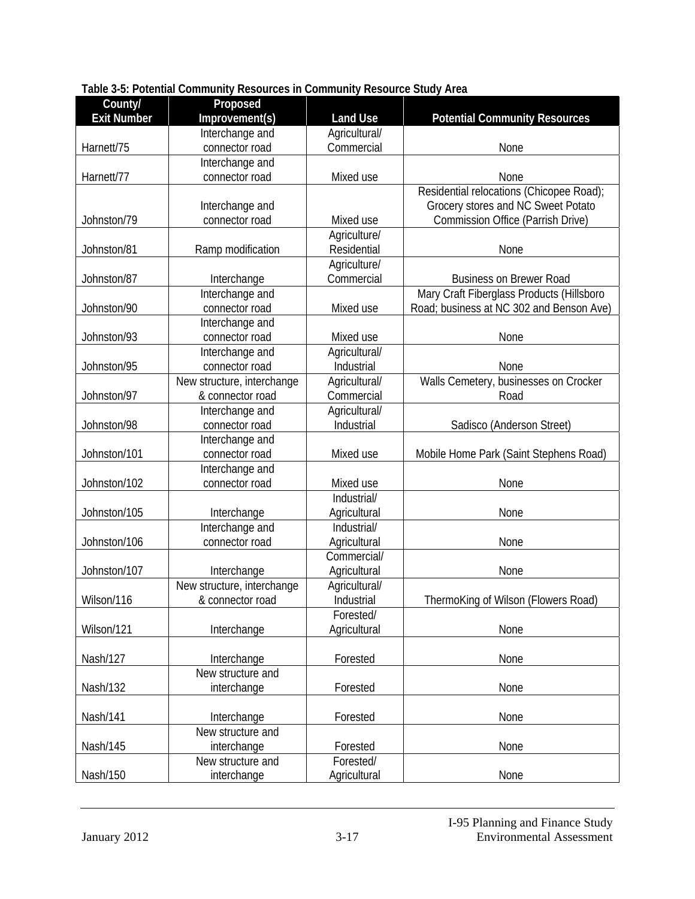| County/            | Proposed                          |                 |                                           |
|--------------------|-----------------------------------|-----------------|-------------------------------------------|
| <b>Exit Number</b> | Improvement(s)                    | <b>Land Use</b> | <b>Potential Community Resources</b>      |
|                    | Interchange and                   | Agricultural/   |                                           |
| Harnett/75         | connector road                    | Commercial      | None                                      |
|                    | Interchange and                   |                 |                                           |
| Harnett/77         | connector road                    | Mixed use       | None                                      |
|                    |                                   |                 | Residential relocations (Chicopee Road);  |
|                    | Interchange and                   |                 | Grocery stores and NC Sweet Potato        |
| Johnston/79        | connector road                    | Mixed use       | <b>Commission Office (Parrish Drive)</b>  |
|                    |                                   | Agriculture/    |                                           |
| Johnston/81        | Ramp modification                 | Residential     | None                                      |
|                    |                                   | Agriculture/    |                                           |
| Johnston/87        | Interchange                       | Commercial      | <b>Business on Brewer Road</b>            |
|                    | Interchange and                   |                 | Mary Craft Fiberglass Products (Hillsboro |
| Johnston/90        | connector road                    | Mixed use       | Road; business at NC 302 and Benson Ave)  |
| Johnston/93        | Interchange and<br>connector road | Mixed use       |                                           |
|                    | Interchange and                   | Agricultural/   | None                                      |
| Johnston/95        | connector road                    | Industrial      | None                                      |
|                    | New structure, interchange        | Agricultural/   | Walls Cemetery, businesses on Crocker     |
| Johnston/97        | & connector road                  | Commercial      | Road                                      |
|                    | Interchange and                   | Agricultural/   |                                           |
| Johnston/98        | connector road                    | Industrial      | Sadisco (Anderson Street)                 |
|                    | Interchange and                   |                 |                                           |
| Johnston/101       | connector road                    | Mixed use       | Mobile Home Park (Saint Stephens Road)    |
|                    | Interchange and                   |                 |                                           |
| Johnston/102       | connector road                    | Mixed use       | None                                      |
|                    |                                   | Industrial/     |                                           |
| Johnston/105       | Interchange                       | Agricultural    | None                                      |
|                    | Interchange and                   | Industrial/     |                                           |
| Johnston/106       | connector road                    | Agricultural    | None                                      |
|                    |                                   | Commercial/     |                                           |
| Johnston/107       | Interchange                       | Agricultural    | None                                      |
|                    | New structure, interchange        | Agricultural/   |                                           |
| Wilson/116         | & connector road                  | Industrial      | ThermoKing of Wilson (Flowers Road)       |
|                    |                                   | Forested/       |                                           |
| Wilson/121         | Interchange                       | Agricultural    | None                                      |
|                    |                                   |                 |                                           |
| Nash/127           | Interchange                       | Forested        | None                                      |
|                    | New structure and                 |                 |                                           |
| Nash/132           | interchange                       | Forested        | None                                      |
| Nash/141           | Interchange                       | Forested        | None                                      |
|                    | New structure and                 |                 |                                           |
| Nash/145           | interchange                       | Forested        | None                                      |
|                    | New structure and                 | Forested/       |                                           |
| Nash/150           | interchange                       | Agricultural    | None                                      |

#### **Table 3-5: Potential Community Resources in Community Resource Study Area**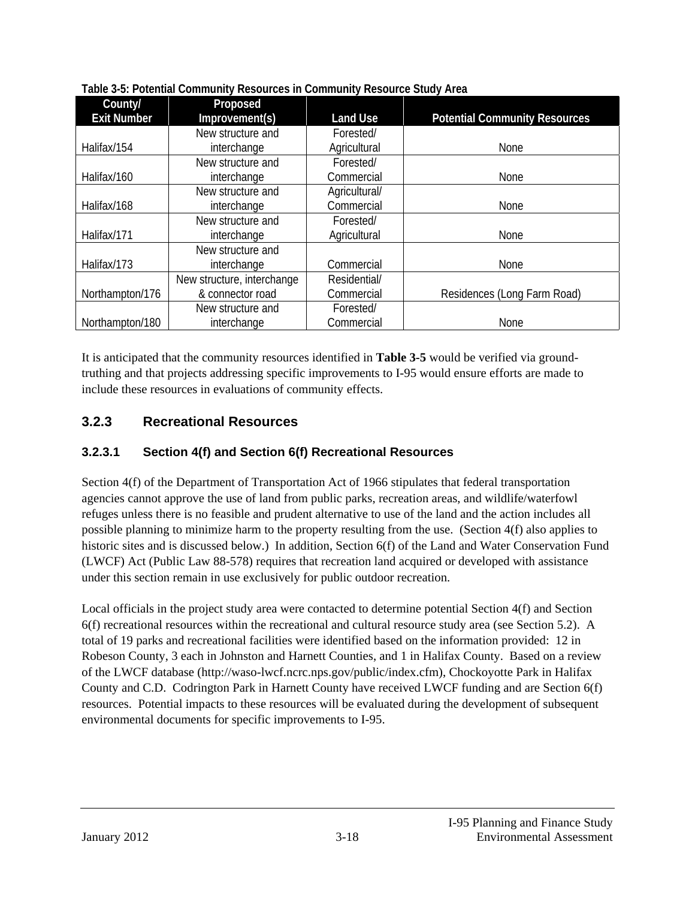| County/            | Proposed                   |                 |                                      |
|--------------------|----------------------------|-----------------|--------------------------------------|
| <b>Exit Number</b> | Improvement(s)             | <b>Land Use</b> | <b>Potential Community Resources</b> |
|                    | New structure and          | Forested/       |                                      |
| Halifax/154        | interchange                | Agricultural    | None                                 |
|                    | New structure and          | Forested/       |                                      |
| Halifax/160        | interchange                | Commercial      | None                                 |
|                    | New structure and          | Agricultural/   |                                      |
| Halifax/168        | interchange                | Commercial      | None                                 |
|                    | New structure and          | Forested/       |                                      |
| Halifax/171        | interchange                | Agricultural    | None                                 |
|                    | New structure and          |                 |                                      |
| Halifax/173        | interchange                | Commercial      | None                                 |
|                    | New structure, interchange | Residential/    |                                      |
| Northampton/176    | & connector road           | Commercial      | Residences (Long Farm Road)          |
|                    | New structure and          | Forested/       |                                      |
| Northampton/180    | interchange                | Commercial      | None                                 |

**Table 3-5: Potential Community Resources in Community Resource Study Area** 

It is anticipated that the community resources identified in **Table 3-5** would be verified via groundtruthing and that projects addressing specific improvements to I-95 would ensure efforts are made to include these resources in evaluations of community effects.

### **3.2.3 Recreational Resources**

#### **3.2.3.1 Section 4(f) and Section 6(f) Recreational Resources**

Section 4(f) of the Department of Transportation Act of 1966 stipulates that federal transportation agencies cannot approve the use of land from public parks, recreation areas, and wildlife/waterfowl refuges unless there is no feasible and prudent alternative to use of the land and the action includes all possible planning to minimize harm to the property resulting from the use. (Section 4(f) also applies to historic sites and is discussed below.) In addition, Section 6(f) of the Land and Water Conservation Fund (LWCF) Act (Public Law 88-578) requires that recreation land acquired or developed with assistance under this section remain in use exclusively for public outdoor recreation.

Local officials in the project study area were contacted to determine potential Section 4(f) and Section 6(f) recreational resources within the recreational and cultural resource study area (see Section 5.2). A total of 19 parks and recreational facilities were identified based on the information provided: 12 in Robeson County, 3 each in Johnston and Harnett Counties, and 1 in Halifax County. Based on a review of the LWCF database (http://waso-lwcf.ncrc.nps.gov/public/index.cfm), Chockoyotte Park in Halifax County and C.D. Codrington Park in Harnett County have received LWCF funding and are Section 6(f) resources. Potential impacts to these resources will be evaluated during the development of subsequent environmental documents for specific improvements to I-95.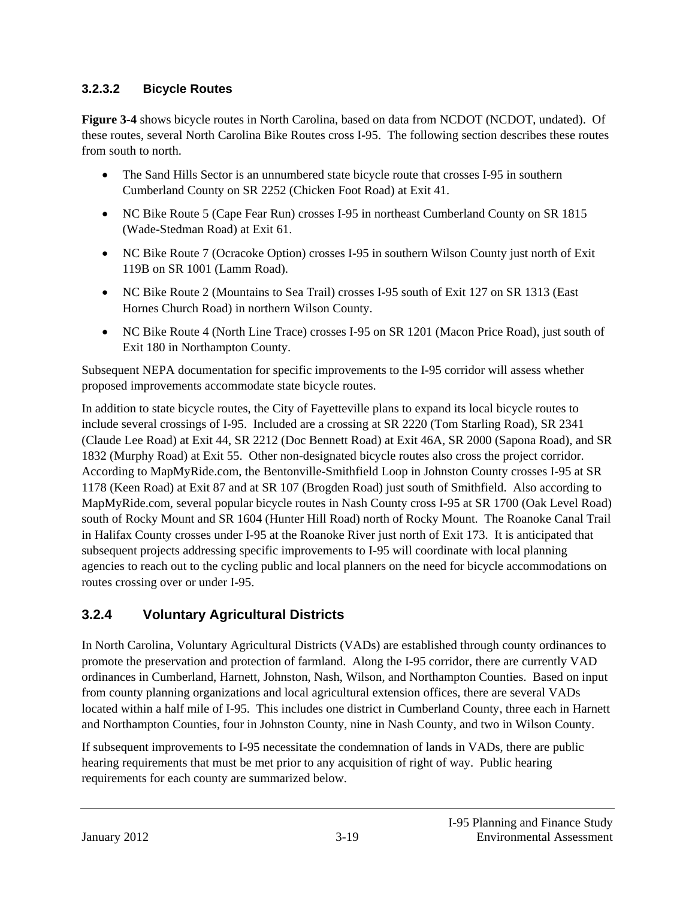#### **3.2.3.2 Bicycle Routes**

**Figure 3-4** shows bicycle routes in North Carolina, based on data from NCDOT (NCDOT, undated). Of these routes, several North Carolina Bike Routes cross I-95. The following section describes these routes from south to north.

- The Sand Hills Sector is an unnumbered state bicycle route that crosses I-95 in southern Cumberland County on SR 2252 (Chicken Foot Road) at Exit 41.
- NC Bike Route 5 (Cape Fear Run) crosses I-95 in northeast Cumberland County on SR 1815 (Wade-Stedman Road) at Exit 61.
- NC Bike Route 7 (Ocracoke Option) crosses I-95 in southern Wilson County just north of Exit 119B on SR 1001 (Lamm Road).
- NC Bike Route 2 (Mountains to Sea Trail) crosses I-95 south of Exit 127 on SR 1313 (East Hornes Church Road) in northern Wilson County.
- NC Bike Route 4 (North Line Trace) crosses I-95 on SR 1201 (Macon Price Road), just south of Exit 180 in Northampton County.

Subsequent NEPA documentation for specific improvements to the I-95 corridor will assess whether proposed improvements accommodate state bicycle routes.

In addition to state bicycle routes, the City of Fayetteville plans to expand its local bicycle routes to include several crossings of I-95. Included are a crossing at SR 2220 (Tom Starling Road), SR 2341 (Claude Lee Road) at Exit 44, SR 2212 (Doc Bennett Road) at Exit 46A, SR 2000 (Sapona Road), and SR 1832 (Murphy Road) at Exit 55. Other non-designated bicycle routes also cross the project corridor. According to MapMyRide.com, the Bentonville-Smithfield Loop in Johnston County crosses I-95 at SR 1178 (Keen Road) at Exit 87 and at SR 107 (Brogden Road) just south of Smithfield. Also according to MapMyRide.com, several popular bicycle routes in Nash County cross I-95 at SR 1700 (Oak Level Road) south of Rocky Mount and SR 1604 (Hunter Hill Road) north of Rocky Mount. The Roanoke Canal Trail in Halifax County crosses under I-95 at the Roanoke River just north of Exit 173. It is anticipated that subsequent projects addressing specific improvements to I-95 will coordinate with local planning agencies to reach out to the cycling public and local planners on the need for bicycle accommodations on routes crossing over or under I-95.

# **3.2.4 Voluntary Agricultural Districts**

In North Carolina, Voluntary Agricultural Districts (VADs) are established through county ordinances to promote the preservation and protection of farmland. Along the I-95 corridor, there are currently VAD ordinances in Cumberland, Harnett, Johnston, Nash, Wilson, and Northampton Counties. Based on input from county planning organizations and local agricultural extension offices, there are several VADs located within a half mile of I-95. This includes one district in Cumberland County, three each in Harnett and Northampton Counties, four in Johnston County, nine in Nash County, and two in Wilson County.

If subsequent improvements to I-95 necessitate the condemnation of lands in VADs, there are public hearing requirements that must be met prior to any acquisition of right of way. Public hearing requirements for each county are summarized below.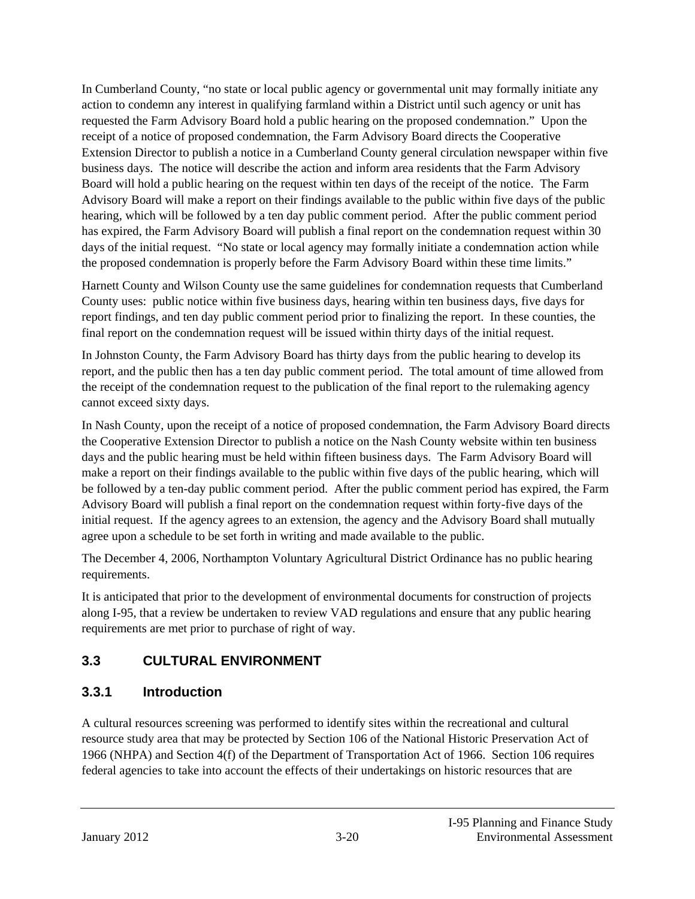In Cumberland County, "no state or local public agency or governmental unit may formally initiate any action to condemn any interest in qualifying farmland within a District until such agency or unit has requested the Farm Advisory Board hold a public hearing on the proposed condemnation." Upon the receipt of a notice of proposed condemnation, the Farm Advisory Board directs the Cooperative Extension Director to publish a notice in a Cumberland County general circulation newspaper within five business days. The notice will describe the action and inform area residents that the Farm Advisory Board will hold a public hearing on the request within ten days of the receipt of the notice. The Farm Advisory Board will make a report on their findings available to the public within five days of the public hearing, which will be followed by a ten day public comment period. After the public comment period has expired, the Farm Advisory Board will publish a final report on the condemnation request within 30 days of the initial request. "No state or local agency may formally initiate a condemnation action while the proposed condemnation is properly before the Farm Advisory Board within these time limits."

Harnett County and Wilson County use the same guidelines for condemnation requests that Cumberland County uses: public notice within five business days, hearing within ten business days, five days for report findings, and ten day public comment period prior to finalizing the report. In these counties, the final report on the condemnation request will be issued within thirty days of the initial request.

In Johnston County, the Farm Advisory Board has thirty days from the public hearing to develop its report, and the public then has a ten day public comment period. The total amount of time allowed from the receipt of the condemnation request to the publication of the final report to the rulemaking agency cannot exceed sixty days.

In Nash County, upon the receipt of a notice of proposed condemnation, the Farm Advisory Board directs the Cooperative Extension Director to publish a notice on the Nash County website within ten business days and the public hearing must be held within fifteen business days. The Farm Advisory Board will make a report on their findings available to the public within five days of the public hearing, which will be followed by a ten-day public comment period. After the public comment period has expired, the Farm Advisory Board will publish a final report on the condemnation request within forty-five days of the initial request. If the agency agrees to an extension, the agency and the Advisory Board shall mutually agree upon a schedule to be set forth in writing and made available to the public.

The December 4, 2006, Northampton Voluntary Agricultural District Ordinance has no public hearing requirements.

It is anticipated that prior to the development of environmental documents for construction of projects along I-95, that a review be undertaken to review VAD regulations and ensure that any public hearing requirements are met prior to purchase of right of way.

# **3.3 CULTURAL ENVIRONMENT**

# **3.3.1 Introduction**

A cultural resources screening was performed to identify sites within the recreational and cultural resource study area that may be protected by Section 106 of the National Historic Preservation Act of 1966 (NHPA) and Section 4(f) of the Department of Transportation Act of 1966. Section 106 requires federal agencies to take into account the effects of their undertakings on historic resources that are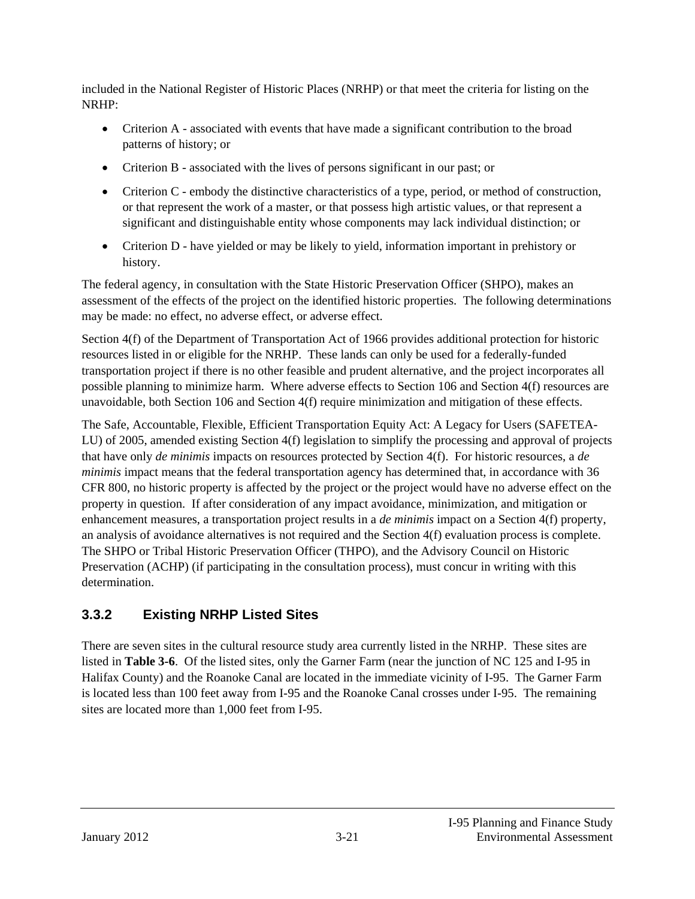included in the National Register of Historic Places (NRHP) or that meet the criteria for listing on the NRHP:

- Criterion A associated with events that have made a significant contribution to the broad patterns of history; or
- Criterion B associated with the lives of persons significant in our past; or
- Criterion C embody the distinctive characteristics of a type, period, or method of construction, or that represent the work of a master, or that possess high artistic values, or that represent a significant and distinguishable entity whose components may lack individual distinction; or
- Criterion D have yielded or may be likely to yield, information important in prehistory or history.

The federal agency, in consultation with the State Historic Preservation Officer (SHPO), makes an assessment of the effects of the project on the identified historic properties. The following determinations may be made: no effect, no adverse effect, or adverse effect.

Section 4(f) of the Department of Transportation Act of 1966 provides additional protection for historic resources listed in or eligible for the NRHP. These lands can only be used for a federally-funded transportation project if there is no other feasible and prudent alternative, and the project incorporates all possible planning to minimize harm. Where adverse effects to Section 106 and Section 4(f) resources are unavoidable, both Section 106 and Section 4(f) require minimization and mitigation of these effects.

The Safe, Accountable, Flexible, Efficient Transportation Equity Act: A Legacy for Users (SAFETEA-LU) of 2005, amended existing Section 4(f) legislation to simplify the processing and approval of projects that have only *de minimis* impacts on resources protected by Section 4(f). For historic resources, a *de minimis* impact means that the federal transportation agency has determined that, in accordance with 36 CFR 800, no historic property is affected by the project or the project would have no adverse effect on the property in question. If after consideration of any impact avoidance, minimization, and mitigation or enhancement measures, a transportation project results in a *de minimis* impact on a Section 4(f) property, an analysis of avoidance alternatives is not required and the Section 4(f) evaluation process is complete. The SHPO or Tribal Historic Preservation Officer (THPO), and the Advisory Council on Historic Preservation (ACHP) (if participating in the consultation process), must concur in writing with this determination.

# **3.3.2 Existing NRHP Listed Sites**

There are seven sites in the cultural resource study area currently listed in the NRHP. These sites are listed in **Table 3-6**. Of the listed sites, only the Garner Farm (near the junction of NC 125 and I-95 in Halifax County) and the Roanoke Canal are located in the immediate vicinity of I-95. The Garner Farm is located less than 100 feet away from I-95 and the Roanoke Canal crosses under I-95. The remaining sites are located more than 1,000 feet from I-95.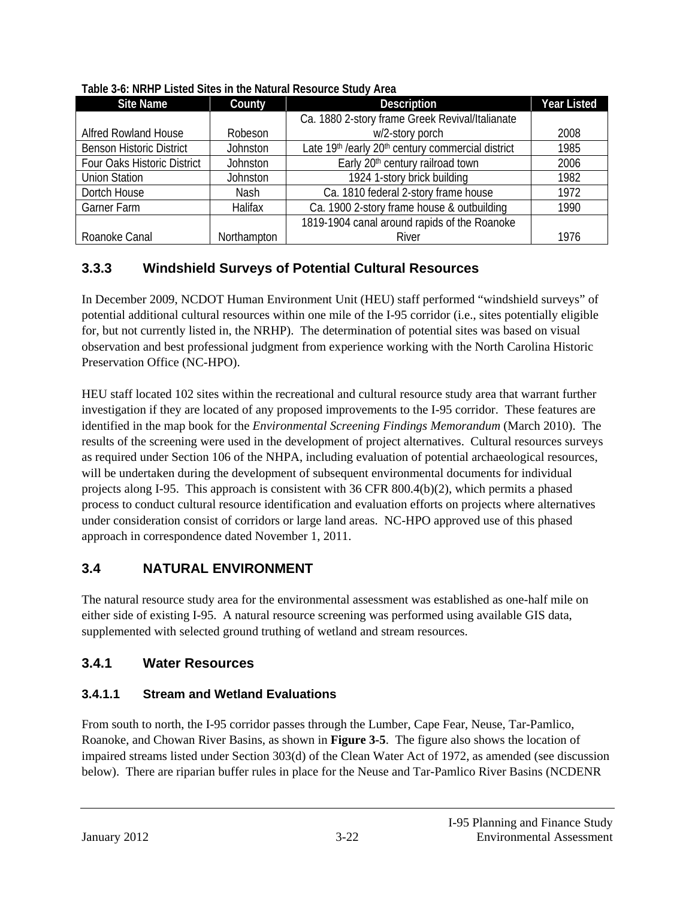| <b>Site Name</b>                | County      | <b>Description</b>                                | <b>Year Listed</b> |
|---------------------------------|-------------|---------------------------------------------------|--------------------|
|                                 |             | Ca. 1880 2-story frame Greek Revival/Italianate   |                    |
| <b>Alfred Rowland House</b>     | Robeson     | w/2-story porch                                   |                    |
| <b>Benson Historic District</b> | Johnston    | Late 19th /early 20th century commercial district | 1985               |
| Four Oaks Historic District     | Johnston    | Early 20 <sup>th</sup> century railroad town      | 2006               |
| <b>Union Station</b>            | Johnston    | 1924 1-story brick building                       | 1982               |
| Dortch House                    | <b>Nash</b> | Ca. 1810 federal 2-story frame house              | 1972               |
| Garner Farm                     | Halifax     | Ca. 1900 2-story frame house & outbuilding        | 1990               |
|                                 |             | 1819-1904 canal around rapids of the Roanoke      |                    |
| Roanoke Canal                   | Northampton | River                                             | 1976               |

#### **Table 3-6: NRHP Listed Sites in the Natural Resource Study Area**

#### **3.3.3 Windshield Surveys of Potential Cultural Resources**

In December 2009, NCDOT Human Environment Unit (HEU) staff performed "windshield surveys" of potential additional cultural resources within one mile of the I-95 corridor (i.e., sites potentially eligible for, but not currently listed in, the NRHP). The determination of potential sites was based on visual observation and best professional judgment from experience working with the North Carolina Historic Preservation Office (NC-HPO).

HEU staff located 102 sites within the recreational and cultural resource study area that warrant further investigation if they are located of any proposed improvements to the I-95 corridor. These features are identified in the map book for the *Environmental Screening Findings Memorandum* (March 2010). The results of the screening were used in the development of project alternatives. Cultural resources surveys as required under Section 106 of the NHPA, including evaluation of potential archaeological resources, will be undertaken during the development of subsequent environmental documents for individual projects along I-95. This approach is consistent with 36 CFR 800.4(b)(2), which permits a phased process to conduct cultural resource identification and evaluation efforts on projects where alternatives under consideration consist of corridors or large land areas. NC-HPO approved use of this phased approach in correspondence dated November 1, 2011.

#### **3.4 NATURAL ENVIRONMENT**

The natural resource study area for the environmental assessment was established as one-half mile on either side of existing I-95. A natural resource screening was performed using available GIS data, supplemented with selected ground truthing of wetland and stream resources.

### **3.4.1 Water Resources**

#### **3.4.1.1 Stream and Wetland Evaluations**

From south to north, the I-95 corridor passes through the Lumber, Cape Fear, Neuse, Tar-Pamlico, Roanoke, and Chowan River Basins, as shown in **Figure 3-5**. The figure also shows the location of impaired streams listed under Section 303(d) of the Clean Water Act of 1972, as amended (see discussion below). There are riparian buffer rules in place for the Neuse and Tar-Pamlico River Basins (NCDENR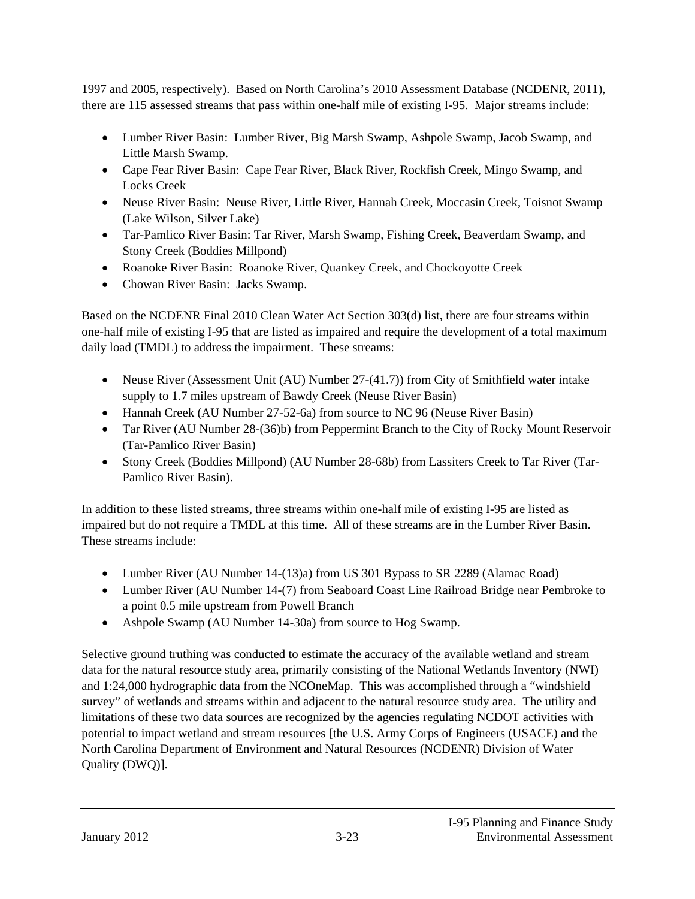1997 and 2005, respectively). Based on North Carolina's 2010 Assessment Database (NCDENR, 2011), there are 115 assessed streams that pass within one-half mile of existing I-95. Major streams include:

- Lumber River Basin: Lumber River, Big Marsh Swamp, Ashpole Swamp, Jacob Swamp, and Little Marsh Swamp.
- Cape Fear River Basin: Cape Fear River, Black River, Rockfish Creek, Mingo Swamp, and Locks Creek
- Neuse River Basin: Neuse River, Little River, Hannah Creek, Moccasin Creek, Toisnot Swamp (Lake Wilson, Silver Lake)
- Tar-Pamlico River Basin: Tar River, Marsh Swamp, Fishing Creek, Beaverdam Swamp, and Stony Creek (Boddies Millpond)
- Roanoke River Basin: Roanoke River, Quankey Creek, and Chockoyotte Creek
- Chowan River Basin: Jacks Swamp.

Based on the NCDENR Final 2010 Clean Water Act Section 303(d) list, there are four streams within one-half mile of existing I-95 that are listed as impaired and require the development of a total maximum daily load (TMDL) to address the impairment. These streams:

- Neuse River (Assessment Unit (AU) Number 27-(41.7)) from City of Smithfield water intake supply to 1.7 miles upstream of Bawdy Creek (Neuse River Basin)
- Hannah Creek (AU Number 27-52-6a) from source to NC 96 (Neuse River Basin)
- Tar River (AU Number 28-(36)b) from Peppermint Branch to the City of Rocky Mount Reservoir (Tar-Pamlico River Basin)
- Stony Creek (Boddies Millpond) (AU Number 28-68b) from Lassiters Creek to Tar River (Tar-Pamlico River Basin).

In addition to these listed streams, three streams within one-half mile of existing I-95 are listed as impaired but do not require a TMDL at this time. All of these streams are in the Lumber River Basin. These streams include:

- Lumber River (AU Number 14-(13)a) from US 301 Bypass to SR 2289 (Alamac Road)
- Lumber River (AU Number 14-(7) from Seaboard Coast Line Railroad Bridge near Pembroke to a point 0.5 mile upstream from Powell Branch
- Ashpole Swamp (AU Number 14-30a) from source to Hog Swamp.

Selective ground truthing was conducted to estimate the accuracy of the available wetland and stream data for the natural resource study area, primarily consisting of the National Wetlands Inventory (NWI) and 1:24,000 hydrographic data from the NCOneMap. This was accomplished through a "windshield survey" of wetlands and streams within and adjacent to the natural resource study area. The utility and limitations of these two data sources are recognized by the agencies regulating NCDOT activities with potential to impact wetland and stream resources [the U.S. Army Corps of Engineers (USACE) and the North Carolina Department of Environment and Natural Resources (NCDENR) Division of Water Quality (DWQ)].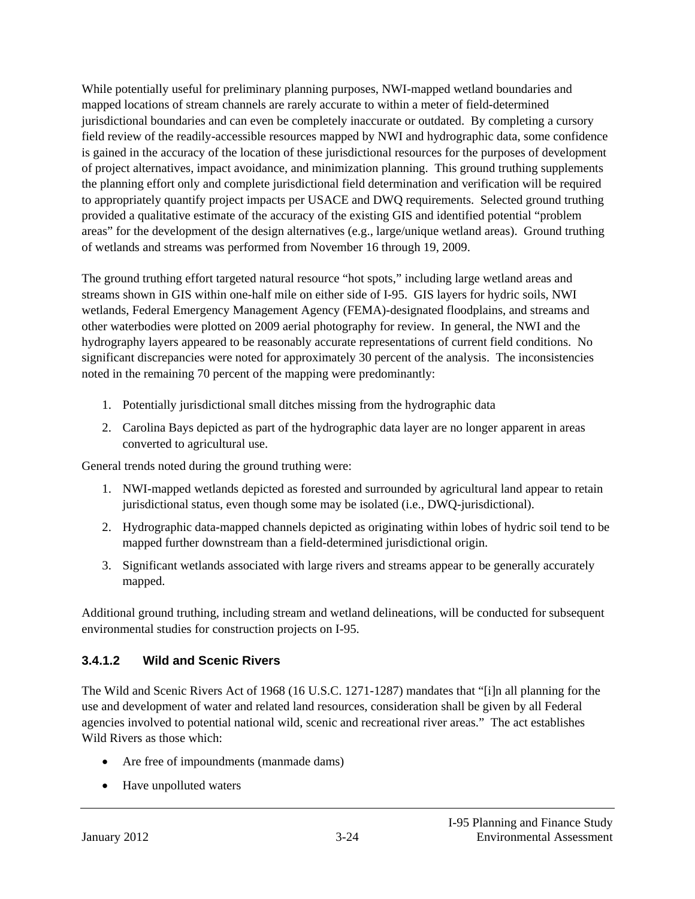While potentially useful for preliminary planning purposes, NWI-mapped wetland boundaries and mapped locations of stream channels are rarely accurate to within a meter of field-determined jurisdictional boundaries and can even be completely inaccurate or outdated. By completing a cursory field review of the readily-accessible resources mapped by NWI and hydrographic data, some confidence is gained in the accuracy of the location of these jurisdictional resources for the purposes of development of project alternatives, impact avoidance, and minimization planning. This ground truthing supplements the planning effort only and complete jurisdictional field determination and verification will be required to appropriately quantify project impacts per USACE and DWQ requirements. Selected ground truthing provided a qualitative estimate of the accuracy of the existing GIS and identified potential "problem areas" for the development of the design alternatives (e.g., large/unique wetland areas). Ground truthing of wetlands and streams was performed from November 16 through 19, 2009.

The ground truthing effort targeted natural resource "hot spots," including large wetland areas and streams shown in GIS within one-half mile on either side of I-95. GIS layers for hydric soils, NWI wetlands, Federal Emergency Management Agency (FEMA)-designated floodplains, and streams and other waterbodies were plotted on 2009 aerial photography for review. In general, the NWI and the hydrography layers appeared to be reasonably accurate representations of current field conditions. No significant discrepancies were noted for approximately 30 percent of the analysis. The inconsistencies noted in the remaining 70 percent of the mapping were predominantly:

- 1. Potentially jurisdictional small ditches missing from the hydrographic data
- 2. Carolina Bays depicted as part of the hydrographic data layer are no longer apparent in areas converted to agricultural use.

General trends noted during the ground truthing were:

- 1. NWI-mapped wetlands depicted as forested and surrounded by agricultural land appear to retain jurisdictional status, even though some may be isolated (i.e., DWQ-jurisdictional).
- 2. Hydrographic data-mapped channels depicted as originating within lobes of hydric soil tend to be mapped further downstream than a field-determined jurisdictional origin.
- 3. Significant wetlands associated with large rivers and streams appear to be generally accurately mapped.

Additional ground truthing, including stream and wetland delineations, will be conducted for subsequent environmental studies for construction projects on I-95.

#### **3.4.1.2 Wild and Scenic Rivers**

The Wild and Scenic Rivers Act of 1968 (16 U.S.C. 1271-1287) mandates that "[i]n all planning for the use and development of water and related land resources, consideration shall be given by all Federal agencies involved to potential national wild, scenic and recreational river areas." The act establishes Wild Rivers as those which:

- Are free of impoundments (manmade dams)
- Have unpolluted waters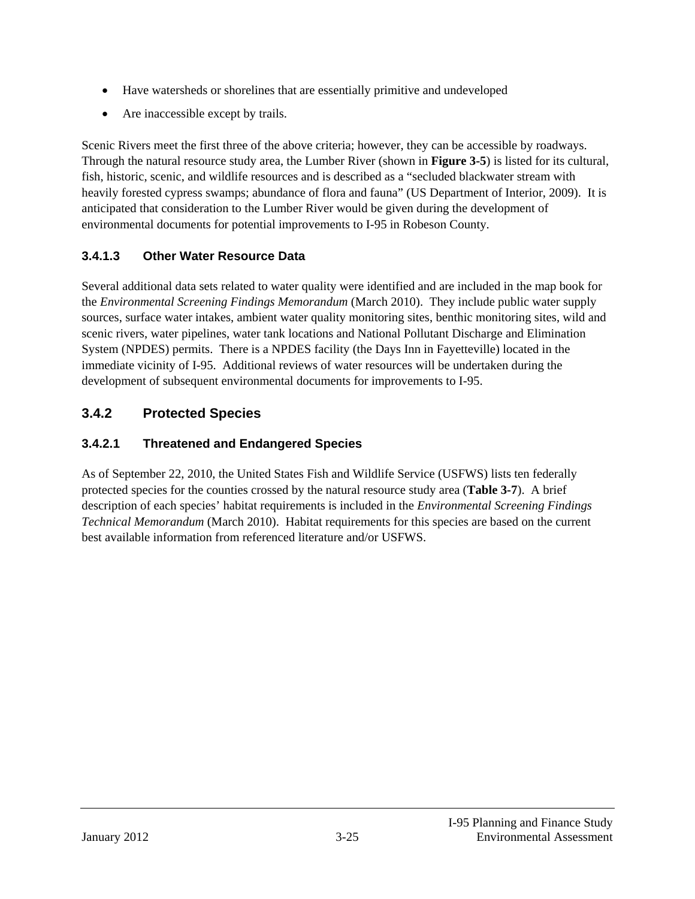- Have watersheds or shorelines that are essentially primitive and undeveloped
- Are inaccessible except by trails.

Scenic Rivers meet the first three of the above criteria; however, they can be accessible by roadways. Through the natural resource study area, the Lumber River (shown in **Figure 3-5**) is listed for its cultural, fish, historic, scenic, and wildlife resources and is described as a "secluded blackwater stream with heavily forested cypress swamps; abundance of flora and fauna" (US Department of Interior, 2009). It is anticipated that consideration to the Lumber River would be given during the development of environmental documents for potential improvements to I-95 in Robeson County.

### **3.4.1.3 Other Water Resource Data**

Several additional data sets related to water quality were identified and are included in the map book for the *Environmental Screening Findings Memorandum* (March 2010). They include public water supply sources, surface water intakes, ambient water quality monitoring sites, benthic monitoring sites, wild and scenic rivers, water pipelines, water tank locations and National Pollutant Discharge and Elimination System (NPDES) permits. There is a NPDES facility (the Days Inn in Fayetteville) located in the immediate vicinity of I-95. Additional reviews of water resources will be undertaken during the development of subsequent environmental documents for improvements to I-95.

### **3.4.2 Protected Species**

#### **3.4.2.1 Threatened and Endangered Species**

As of September 22, 2010, the United States Fish and Wildlife Service (USFWS) lists ten federally protected species for the counties crossed by the natural resource study area (**Table 3-7**). A brief description of each species' habitat requirements is included in the *Environmental Screening Findings Technical Memorandum* (March 2010). Habitat requirements for this species are based on the current best available information from referenced literature and/or USFWS.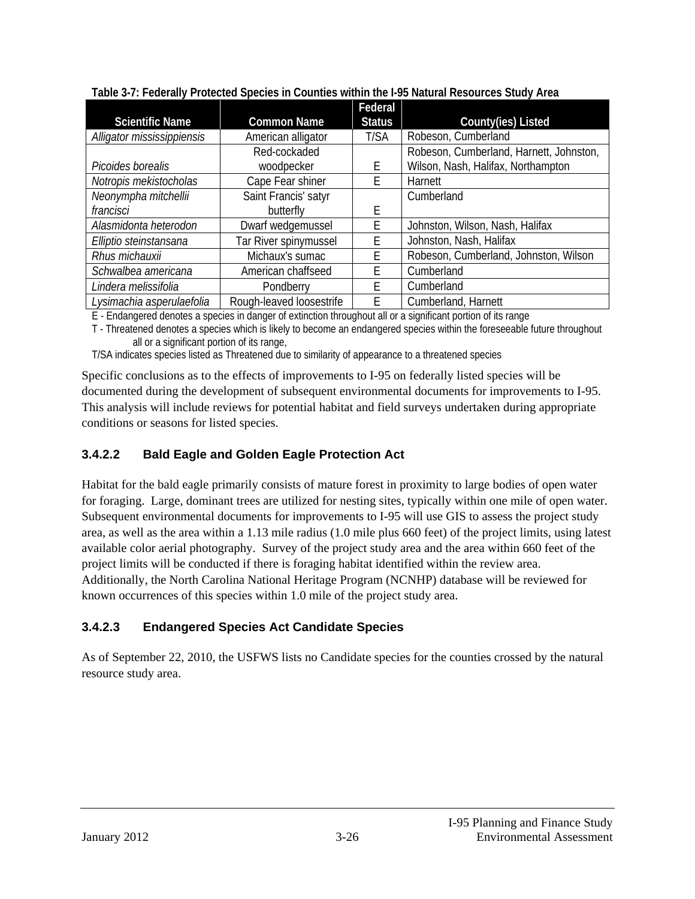|                            |                          | Federal       |                                         |
|----------------------------|--------------------------|---------------|-----------------------------------------|
| <b>Scientific Name</b>     | <b>Common Name</b>       | <b>Status</b> | County(ies) Listed                      |
| Alligator mississippiensis | American alligator       | T/SA          | Robeson, Cumberland                     |
|                            | Red-cockaded             |               | Robeson, Cumberland, Harnett, Johnston, |
| Picoides borealis          | woodpecker               | F             | Wilson, Nash, Halifax, Northampton      |
| Notropis mekistocholas     | Cape Fear shiner         | F             | Harnett                                 |
| Neonympha mitchellii       | Saint Francis' satyr     |               | Cumberland                              |
| francisci                  | butterfly                | F             |                                         |
| Alasmidonta heterodon      | Dwarf wedgemussel        | F             | Johnston, Wilson, Nash, Halifax         |
| Elliptio steinstansana     | Tar River spinymussel    | E             | Johnston, Nash, Halifax                 |
| Rhus michauxii             | Michaux's sumac          | F             | Robeson, Cumberland, Johnston, Wilson   |
| Schwalbea americana        | American chaffseed       | F.            | Cumberland                              |
| Lindera melissifolia       | Pondberry                | F             | Cumberland                              |
| Lysimachia asperulaefolia  | Rough-leaved loosestrife | E             | Cumberland, Harnett                     |

**Table 3-7: Federally Protected Species in Counties within the I-95 Natural Resources Study Area** 

E - Endangered denotes a species in danger of extinction throughout all or a significant portion of its range

T - Threatened denotes a species which is likely to become an endangered species within the foreseeable future throughout all or a significant portion of its range,

T/SA indicates species listed as Threatened due to similarity of appearance to a threatened species

Specific conclusions as to the effects of improvements to I-95 on federally listed species will be documented during the development of subsequent environmental documents for improvements to I-95. This analysis will include reviews for potential habitat and field surveys undertaken during appropriate conditions or seasons for listed species.

# **3.4.2.2 Bald Eagle and Golden Eagle Protection Act**

Habitat for the bald eagle primarily consists of mature forest in proximity to large bodies of open water for foraging. Large, dominant trees are utilized for nesting sites, typically within one mile of open water. Subsequent environmental documents for improvements to I-95 will use GIS to assess the project study area, as well as the area within a 1.13 mile radius (1.0 mile plus 660 feet) of the project limits, using latest available color aerial photography. Survey of the project study area and the area within 660 feet of the project limits will be conducted if there is foraging habitat identified within the review area. Additionally, the North Carolina National Heritage Program (NCNHP) database will be reviewed for known occurrences of this species within 1.0 mile of the project study area.

# **3.4.2.3 Endangered Species Act Candidate Species**

As of September 22, 2010, the USFWS lists no Candidate species for the counties crossed by the natural resource study area.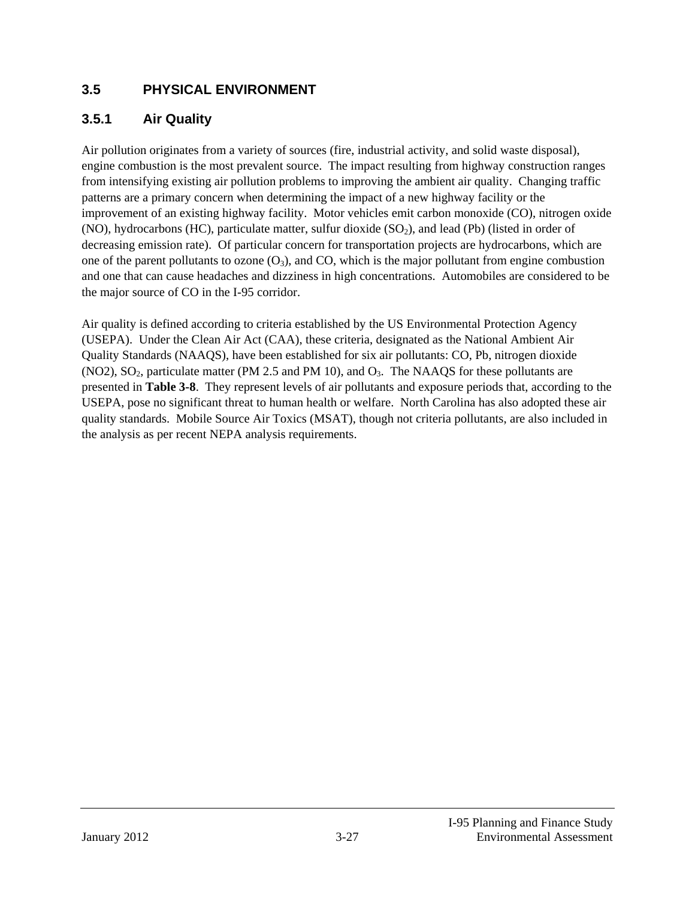#### **3.5 PHYSICAL ENVIRONMENT**

#### **3.5.1 Air Quality**

Air pollution originates from a variety of sources (fire, industrial activity, and solid waste disposal), engine combustion is the most prevalent source. The impact resulting from highway construction ranges from intensifying existing air pollution problems to improving the ambient air quality. Changing traffic patterns are a primary concern when determining the impact of a new highway facility or the improvement of an existing highway facility. Motor vehicles emit carbon monoxide (CO), nitrogen oxide (NO), hydrocarbons (HC), particulate matter, sulfur dioxide  $(SO<sub>2</sub>)$ , and lead (Pb) (listed in order of decreasing emission rate). Of particular concern for transportation projects are hydrocarbons, which are one of the parent pollutants to ozone  $(O_3)$ , and CO, which is the major pollutant from engine combustion and one that can cause headaches and dizziness in high concentrations. Automobiles are considered to be the major source of CO in the I-95 corridor.

Air quality is defined according to criteria established by the US Environmental Protection Agency (USEPA). Under the Clean Air Act (CAA), these criteria, designated as the National Ambient Air Quality Standards (NAAQS), have been established for six air pollutants: CO, Pb, nitrogen dioxide (NO2), SO<sub>2</sub>, particulate matter (PM 2.5 and PM 10), and  $O<sub>3</sub>$ . The NAAQS for these pollutants are presented in **Table 3-8**. They represent levels of air pollutants and exposure periods that, according to the USEPA, pose no significant threat to human health or welfare. North Carolina has also adopted these air quality standards. Mobile Source Air Toxics (MSAT), though not criteria pollutants, are also included in the analysis as per recent NEPA analysis requirements.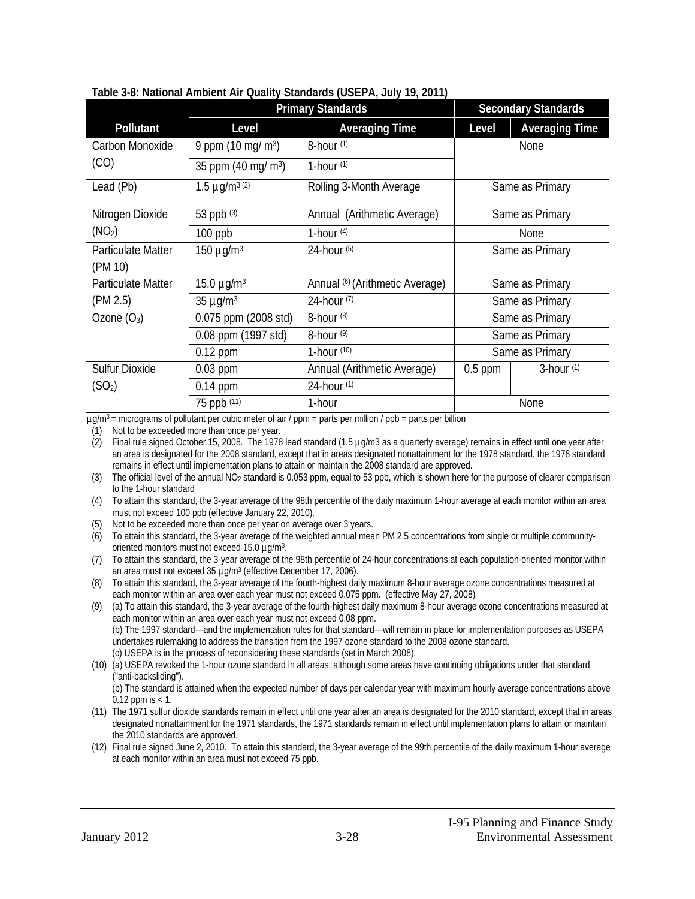|                           | <b>Primary Standards</b>       |                                 |                 | <b>Secondary Standards</b> |
|---------------------------|--------------------------------|---------------------------------|-----------------|----------------------------|
| Pollutant                 | Level                          | <b>Averaging Time</b>           | Level           | <b>Averaging Time</b>      |
| Carbon Monoxide           | 9 ppm $(10 \text{ mg/m}^3)$    | $8$ -hour $(1)$                 | None            |                            |
| (CO)                      | 35 ppm $(40 \text{ mg/m}^3)$   | $1$ -hour $(1)$                 |                 |                            |
| Lead (Pb)                 | 1.5 $\mu$ g/m <sup>3 (2)</sup> | Rolling 3-Month Average         |                 | Same as Primary            |
| Nitrogen Dioxide          | 53 ppb $(3)$                   | Annual (Arithmetic Average)     |                 | Same as Primary            |
| (NO <sub>2</sub> )        | 100 ppb                        | 1-hour $(4)$                    |                 | <b>None</b>                |
| <b>Particulate Matter</b> | $150 \mu g/m3$                 | 24-hour (5)                     |                 | Same as Primary            |
| (PM 10)                   |                                |                                 |                 |                            |
| <b>Particulate Matter</b> | 15.0 $\mu$ g/m <sup>3</sup>    | Annual (6) (Arithmetic Average) |                 | Same as Primary            |
| (PM 2.5)                  | $35 \mu q/m^3$                 | 24-hour (7)                     |                 | Same as Primary            |
| Ozone $(O_3)$             | 0.075 ppm (2008 std)           | $8$ -hour $(8)$                 |                 | Same as Primary            |
|                           | 0.08 ppm (1997 std)            | $8$ -hour $(9)$                 |                 | Same as Primary            |
|                           | $0.12$ ppm                     | 1-hour $(10)$                   | Same as Primary |                            |
| Sulfur Dioxide            | $0.03$ ppm                     | Annual (Arithmetic Average)     | $0.5$ ppm       | $3$ -hour $(1)$            |
| (SO <sub>2</sub> )        | $0.14$ ppm                     | 24-hour (1)                     |                 |                            |
|                           | 75 ppb (11)                    | 1-hour                          |                 | None                       |

#### **Table 3-8: National Ambient Air Quality Standards (USEPA, July 19, 2011)**

 $\mu$ g/m<sup>3</sup> = micrograms of pollutant per cubic meter of air / ppm = parts per million / ppb = parts per billion

(1) Not to be exceeded more than once per year.

(2) Final rule signed October 15, 2008. The 1978 lead standard (1.5 µg/m3 as a quarterly average) remains in effect until one year after an area is designated for the 2008 standard, except that in areas designated nonattainment for the 1978 standard, the 1978 standard remains in effect until implementation plans to attain or maintain the 2008 standard are approved.

- (3) The official level of the annual NO2 standard is 0.053 ppm, equal to 53 ppb, which is shown here for the purpose of clearer comparison to the 1-hour standard
- (4) To attain this standard, the 3-year average of the 98th percentile of the daily maximum 1-hour average at each monitor within an area must not exceed 100 ppb (effective January 22, 2010).
- (5) Not to be exceeded more than once per year on average over 3 years.
- (6) To attain this standard, the 3-year average of the weighted annual mean PM 2.5 concentrations from single or multiple communityoriented monitors must not exceed 15.0 µg/m<sup>3</sup>.

(7) To attain this standard, the 3-year average of the 98th percentile of 24-hour concentrations at each population-oriented monitor within an area must not exceed 35 µg/m3 (effective December 17, 2006).

(8) To attain this standard, the 3-year average of the fourth-highest daily maximum 8-hour average ozone concentrations measured at each monitor within an area over each year must not exceed 0.075 ppm. (effective May 27, 2008)

(9) (a) To attain this standard, the 3-year average of the fourth-highest daily maximum 8-hour average ozone concentrations measured at each monitor within an area over each year must not exceed 0.08 ppm. (b) The 1997 standard—and the implementation rules for that standard—will remain in place for implementation purposes as USEPA undertakes rulemaking to address the transition from the 1997 ozone standard to the 2008 ozone standard. (c) USEPA is in the process of reconsidering these standards (set in March 2008).

(10) (a) USEPA revoked the 1-hour ozone standard in all areas, although some areas have continuing obligations under that standard ("anti-backsliding").

 (b) The standard is attained when the expected number of days per calendar year with maximum hourly average concentrations above 0.12 ppm is < 1.

- (11) The 1971 sulfur dioxide standards remain in effect until one year after an area is designated for the 2010 standard, except that in areas designated nonattainment for the 1971 standards, the 1971 standards remain in effect until implementation plans to attain or maintain the 2010 standards are approved.
- (12) Final rule signed June 2, 2010. To attain this standard, the 3-year average of the 99th percentile of the daily maximum 1-hour average at each monitor within an area must not exceed 75 ppb.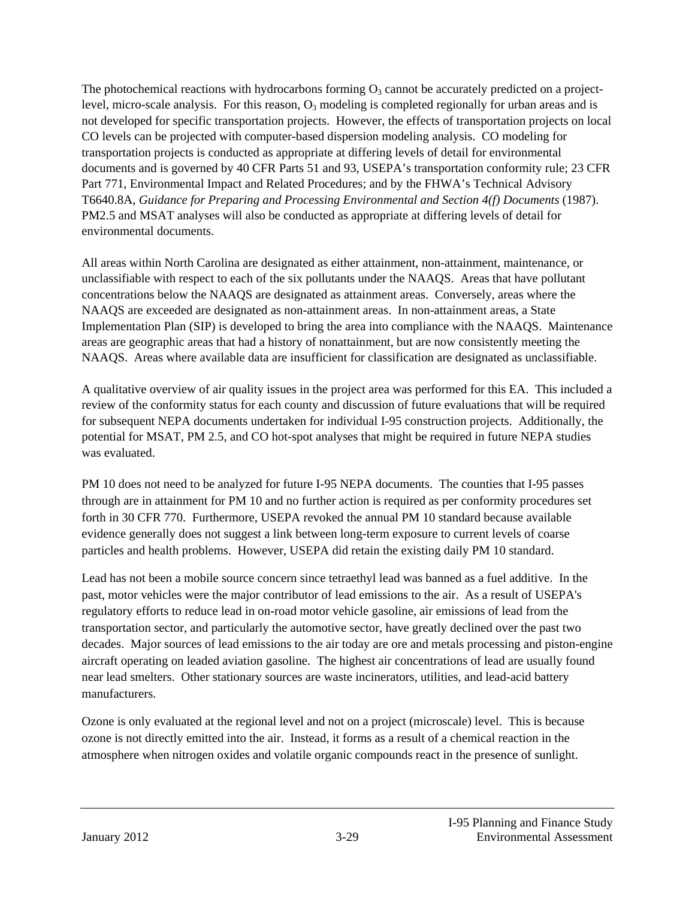The photochemical reactions with hydrocarbons forming  $O_3$  cannot be accurately predicted on a projectlevel, micro-scale analysis. For this reason,  $O_3$  modeling is completed regionally for urban areas and is not developed for specific transportation projects. However, the effects of transportation projects on local CO levels can be projected with computer-based dispersion modeling analysis. CO modeling for transportation projects is conducted as appropriate at differing levels of detail for environmental documents and is governed by 40 CFR Parts 51 and 93, USEPA's transportation conformity rule; 23 CFR Part 771, Environmental Impact and Related Procedures; and by the FHWA's Technical Advisory T6640.8A, *Guidance for Preparing and Processing Environmental and Section 4(f) Documents* (1987). PM2.5 and MSAT analyses will also be conducted as appropriate at differing levels of detail for environmental documents.

All areas within North Carolina are designated as either attainment, non-attainment, maintenance, or unclassifiable with respect to each of the six pollutants under the NAAQS. Areas that have pollutant concentrations below the NAAQS are designated as attainment areas. Conversely, areas where the NAAQS are exceeded are designated as non-attainment areas. In non-attainment areas, a State Implementation Plan (SIP) is developed to bring the area into compliance with the NAAQS. Maintenance areas are geographic areas that had a history of nonattainment, but are now consistently meeting the NAAQS. Areas where available data are insufficient for classification are designated as unclassifiable.

A qualitative overview of air quality issues in the project area was performed for this EA. This included a review of the conformity status for each county and discussion of future evaluations that will be required for subsequent NEPA documents undertaken for individual I-95 construction projects. Additionally, the potential for MSAT, PM 2.5, and CO hot-spot analyses that might be required in future NEPA studies was evaluated.

PM 10 does not need to be analyzed for future I-95 NEPA documents. The counties that I-95 passes through are in attainment for PM 10 and no further action is required as per conformity procedures set forth in 30 CFR 770. Furthermore, USEPA revoked the annual PM 10 standard because available evidence generally does not suggest a link between long-term exposure to current levels of coarse particles and health problems. However, USEPA did retain the existing daily PM 10 standard.

Lead has not been a mobile source concern since tetraethyl lead was banned as a fuel additive. In the past, motor vehicles were the major contributor of lead emissions to the air. As a result of USEPA's regulatory efforts to reduce lead in on-road motor vehicle gasoline, air emissions of lead from the transportation sector, and particularly the automotive sector, have greatly declined over the past two decades. Major sources of lead emissions to the air today are ore and metals processing and piston-engine aircraft operating on leaded aviation gasoline. The highest air concentrations of lead are usually found near lead smelters. Other stationary sources are waste incinerators, utilities, and lead-acid battery manufacturers.

Ozone is only evaluated at the regional level and not on a project (microscale) level. This is because ozone is not directly emitted into the air. Instead, it forms as a result of a chemical reaction in the atmosphere when nitrogen oxides and volatile organic compounds react in the presence of sunlight.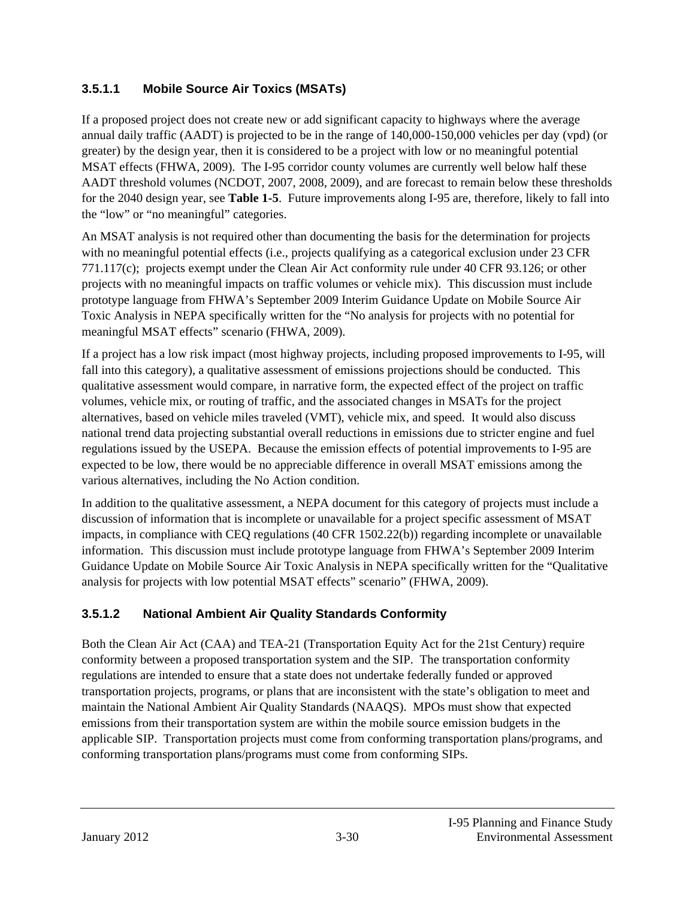#### **3.5.1.1 Mobile Source Air Toxics (MSATs)**

If a proposed project does not create new or add significant capacity to highways where the average annual daily traffic (AADT) is projected to be in the range of 140,000-150,000 vehicles per day (vpd) (or greater) by the design year, then it is considered to be a project with low or no meaningful potential MSAT effects (FHWA, 2009). The I-95 corridor county volumes are currently well below half these AADT threshold volumes (NCDOT, 2007, 2008, 2009), and are forecast to remain below these thresholds for the 2040 design year, see **Table 1-5**. Future improvements along I-95 are, therefore, likely to fall into the "low" or "no meaningful" categories.

An MSAT analysis is not required other than documenting the basis for the determination for projects with no meaningful potential effects (i.e., projects qualifying as a categorical exclusion under 23 CFR 771.117(c); projects exempt under the Clean Air Act conformity rule under 40 CFR 93.126; or other projects with no meaningful impacts on traffic volumes or vehicle mix). This discussion must include prototype language from FHWA's September 2009 Interim Guidance Update on Mobile Source Air Toxic Analysis in NEPA specifically written for the "No analysis for projects with no potential for meaningful MSAT effects" scenario (FHWA, 2009).

If a project has a low risk impact (most highway projects, including proposed improvements to I-95, will fall into this category), a qualitative assessment of emissions projections should be conducted. This qualitative assessment would compare, in narrative form, the expected effect of the project on traffic volumes, vehicle mix, or routing of traffic, and the associated changes in MSATs for the project alternatives, based on vehicle miles traveled (VMT), vehicle mix, and speed. It would also discuss national trend data projecting substantial overall reductions in emissions due to stricter engine and fuel regulations issued by the USEPA. Because the emission effects of potential improvements to I-95 are expected to be low, there would be no appreciable difference in overall MSAT emissions among the various alternatives, including the No Action condition.

In addition to the qualitative assessment, a NEPA document for this category of projects must include a discussion of information that is incomplete or unavailable for a project specific assessment of MSAT impacts, in compliance with CEQ regulations (40 CFR 1502.22(b)) regarding incomplete or unavailable information. This discussion must include prototype language from FHWA's September 2009 Interim Guidance Update on Mobile Source Air Toxic Analysis in NEPA specifically written for the "Qualitative analysis for projects with low potential MSAT effects" scenario" (FHWA, 2009).

### **3.5.1.2 National Ambient Air Quality Standards Conformity**

Both the Clean Air Act (CAA) and TEA-21 (Transportation Equity Act for the 21st Century) require conformity between a proposed transportation system and the SIP. The transportation conformity regulations are intended to ensure that a state does not undertake federally funded or approved transportation projects, programs, or plans that are inconsistent with the state's obligation to meet and maintain the National Ambient Air Quality Standards (NAAQS). MPOs must show that expected emissions from their transportation system are within the mobile source emission budgets in the applicable SIP. Transportation projects must come from conforming transportation plans/programs, and conforming transportation plans/programs must come from conforming SIPs.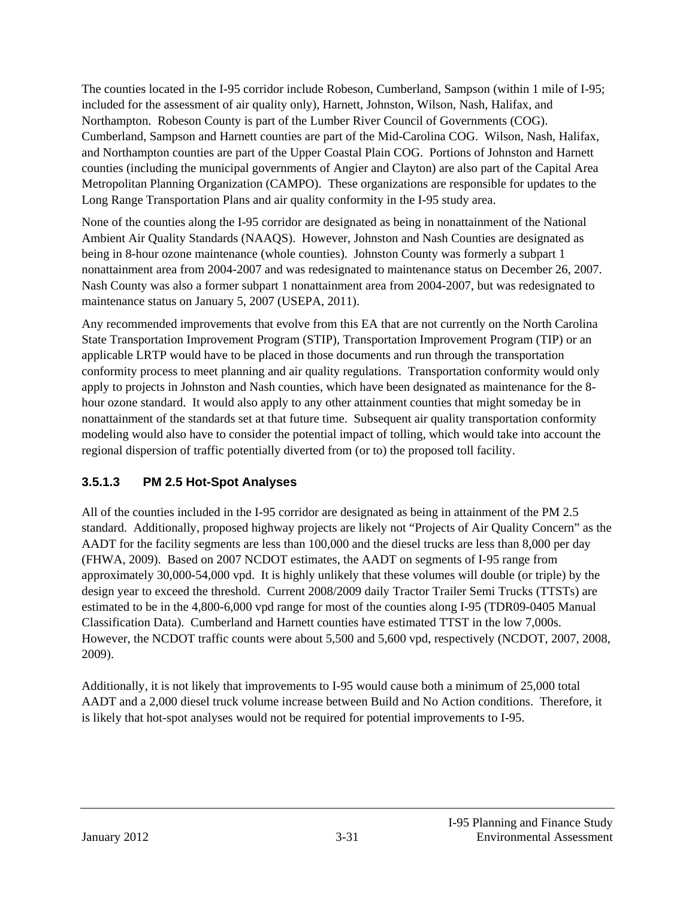The counties located in the I-95 corridor include Robeson, Cumberland, Sampson (within 1 mile of I-95; included for the assessment of air quality only), Harnett, Johnston, Wilson, Nash, Halifax, and Northampton. Robeson County is part of the Lumber River Council of Governments (COG). Cumberland, Sampson and Harnett counties are part of the Mid-Carolina COG. Wilson, Nash, Halifax, and Northampton counties are part of the Upper Coastal Plain COG. Portions of Johnston and Harnett counties (including the municipal governments of Angier and Clayton) are also part of the Capital Area Metropolitan Planning Organization (CAMPO). These organizations are responsible for updates to the Long Range Transportation Plans and air quality conformity in the I-95 study area.

None of the counties along the I-95 corridor are designated as being in nonattainment of the National Ambient Air Quality Standards (NAAQS). However, Johnston and Nash Counties are designated as being in 8-hour ozone maintenance (whole counties). Johnston County was formerly a subpart 1 nonattainment area from 2004-2007 and was redesignated to maintenance status on December 26, 2007. Nash County was also a former subpart 1 nonattainment area from 2004-2007, but was redesignated to maintenance status on January 5, 2007 (USEPA, 2011).

Any recommended improvements that evolve from this EA that are not currently on the North Carolina State Transportation Improvement Program (STIP), Transportation Improvement Program (TIP) or an applicable LRTP would have to be placed in those documents and run through the transportation conformity process to meet planning and air quality regulations. Transportation conformity would only apply to projects in Johnston and Nash counties, which have been designated as maintenance for the 8 hour ozone standard. It would also apply to any other attainment counties that might someday be in nonattainment of the standards set at that future time. Subsequent air quality transportation conformity modeling would also have to consider the potential impact of tolling, which would take into account the regional dispersion of traffic potentially diverted from (or to) the proposed toll facility.

### **3.5.1.3 PM 2.5 Hot-Spot Analyses**

All of the counties included in the I-95 corridor are designated as being in attainment of the PM 2.5 standard. Additionally, proposed highway projects are likely not "Projects of Air Quality Concern" as the AADT for the facility segments are less than 100,000 and the diesel trucks are less than 8,000 per day (FHWA, 2009). Based on 2007 NCDOT estimates, the AADT on segments of I-95 range from approximately 30,000-54,000 vpd. It is highly unlikely that these volumes will double (or triple) by the design year to exceed the threshold. Current 2008/2009 daily Tractor Trailer Semi Trucks (TTSTs) are estimated to be in the 4,800-6,000 vpd range for most of the counties along I-95 (TDR09-0405 Manual Classification Data). Cumberland and Harnett counties have estimated TTST in the low 7,000s. However, the NCDOT traffic counts were about 5,500 and 5,600 vpd, respectively (NCDOT, 2007, 2008, 2009).

Additionally, it is not likely that improvements to I-95 would cause both a minimum of 25,000 total AADT and a 2,000 diesel truck volume increase between Build and No Action conditions. Therefore, it is likely that hot-spot analyses would not be required for potential improvements to I-95.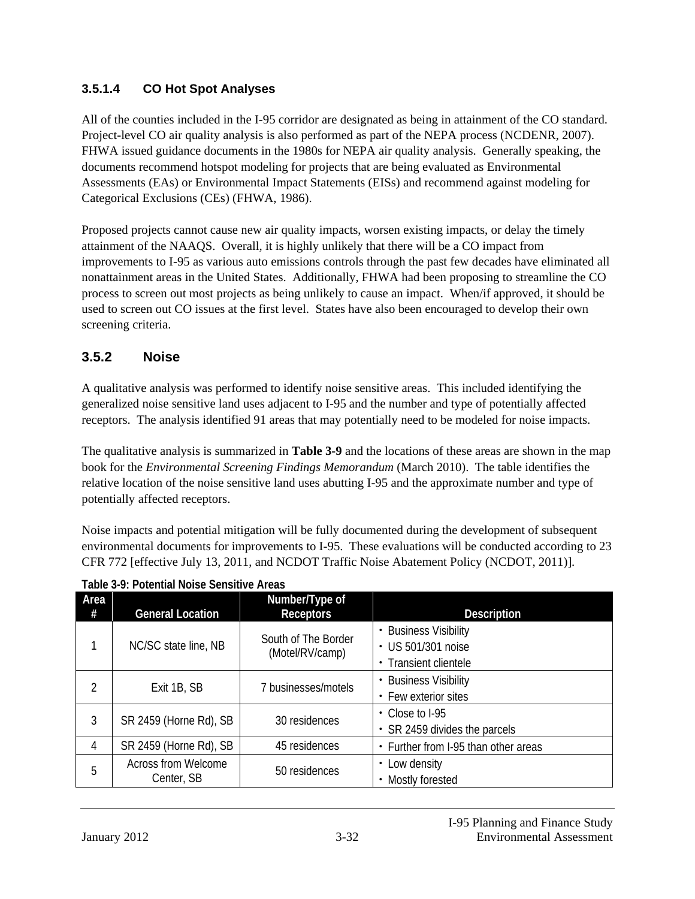#### **3.5.1.4 CO Hot Spot Analyses**

All of the counties included in the I-95 corridor are designated as being in attainment of the CO standard. Project-level CO air quality analysis is also performed as part of the NEPA process (NCDENR, 2007). FHWA issued guidance documents in the 1980s for NEPA air quality analysis. Generally speaking, the documents recommend hotspot modeling for projects that are being evaluated as Environmental Assessments (EAs) or Environmental Impact Statements (EISs) and recommend against modeling for Categorical Exclusions (CEs) (FHWA, 1986).

Proposed projects cannot cause new air quality impacts, worsen existing impacts, or delay the timely attainment of the NAAQS. Overall, it is highly unlikely that there will be a CO impact from improvements to I-95 as various auto emissions controls through the past few decades have eliminated all nonattainment areas in the United States. Additionally, FHWA had been proposing to streamline the CO process to screen out most projects as being unlikely to cause an impact. When/if approved, it should be used to screen out CO issues at the first level. States have also been encouraged to develop their own screening criteria.

### **3.5.2 Noise**

A qualitative analysis was performed to identify noise sensitive areas. This included identifying the generalized noise sensitive land uses adjacent to I-95 and the number and type of potentially affected receptors. The analysis identified 91 areas that may potentially need to be modeled for noise impacts.

The qualitative analysis is summarized in **Table 3-9** and the locations of these areas are shown in the map book for the *Environmental Screening Findings Memorandum* (March 2010). The table identifies the relative location of the noise sensitive land uses abutting I-95 and the approximate number and type of potentially affected receptors.

Noise impacts and potential mitigation will be fully documented during the development of subsequent environmental documents for improvements to I-95. These evaluations will be conducted according to 23 CFR 772 [effective July 13, 2011, and NCDOT Traffic Noise Abatement Policy (NCDOT, 2011)].

| Area<br># | <b>General Location</b>                  | Number/Type of<br><b>Receptors</b>     | <b>Description</b>                                                   |
|-----------|------------------------------------------|----------------------------------------|----------------------------------------------------------------------|
|           | NC/SC state line, NB                     | South of The Border<br>(Motel/RV/camp) | • Business Visibility<br>• US 501/301 noise<br>• Transient clientele |
| 2         | Exit 1B, SB                              | 7 businesses/motels                    | <b>Business Visibility</b><br>• Few exterior sites                   |
| 3         | SR 2459 (Horne Rd), SB                   | 30 residences                          | $\cdot$ Close to I-95<br>• SR 2459 divides the parcels               |
| 4         | SR 2459 (Horne Rd), SB                   | 45 residences                          | • Further from I-95 than other areas                                 |
| 5         | <b>Across from Welcome</b><br>Center, SB | 50 residences                          | • Low density<br>Mostly forested                                     |

**Table 3-9: Potential Noise Sensitive Areas**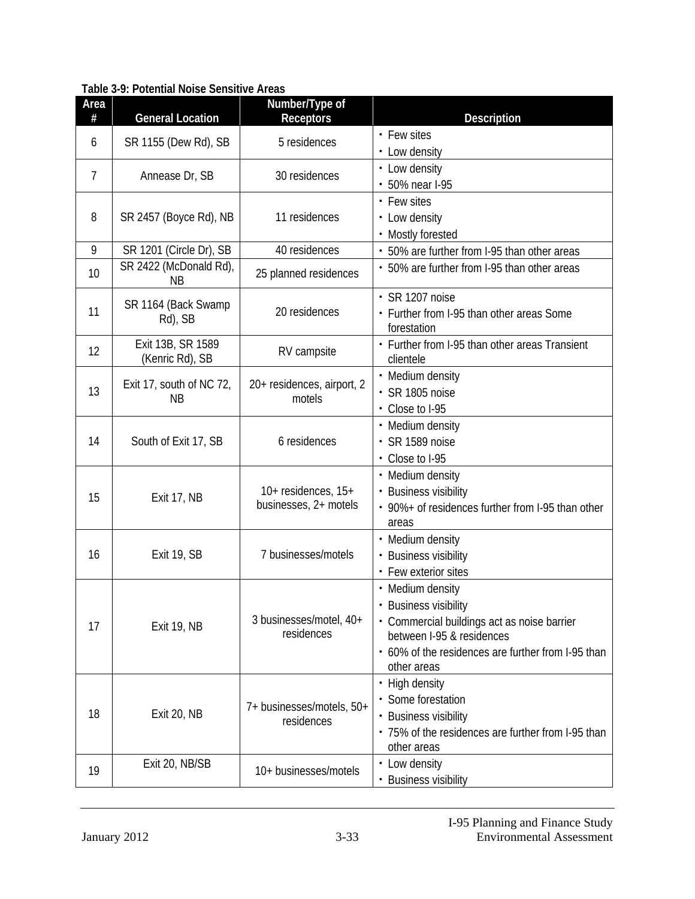| Area<br>#      | <b>General Location</b>               | Number/Type of<br><b>Receptors</b>               | Description                                                                     |
|----------------|---------------------------------------|--------------------------------------------------|---------------------------------------------------------------------------------|
| 6              | SR 1155 (Dew Rd), SB                  | 5 residences                                     | • Few sites                                                                     |
|                |                                       |                                                  | • Low density                                                                   |
| $\overline{7}$ | Annease Dr, SB                        | 30 residences                                    | • Low density                                                                   |
|                |                                       |                                                  | • 50% near I-95                                                                 |
| 8              | SR 2457 (Boyce Rd), NB                | 11 residences                                    | • Few sites                                                                     |
|                |                                       |                                                  | • Low density<br>• Mostly forested                                              |
| 9              | SR 1201 (Circle Dr), SB               | 40 residences                                    | • 50% are further from I-95 than other areas                                    |
| 10             | SR 2422 (McDonald Rd),                | 25 planned residences                            | • 50% are further from I-95 than other areas                                    |
|                | <b>NB</b>                             |                                                  |                                                                                 |
|                | SR 1164 (Back Swamp                   |                                                  | · SR 1207 noise                                                                 |
| 11             | Rd), SB                               | 20 residences                                    | • Further from I-95 than other areas Some<br>forestation                        |
|                | Exit 13B, SR 1589                     |                                                  | • Further from I-95 than other areas Transient                                  |
| 12             | (Kenric Rd), SB                       | RV campsite                                      | clientele                                                                       |
|                |                                       | 20+ residences, airport, 2<br>motels             | • Medium density                                                                |
| 13             | Exit 17, south of NC 72,<br><b>NB</b> |                                                  | · SR 1805 noise                                                                 |
|                |                                       |                                                  | • Close to I-95                                                                 |
|                | South of Exit 17, SB                  | 6 residences                                     | • Medium density                                                                |
| 14             |                                       |                                                  | $\cdot$ SR 1589 noise                                                           |
|                |                                       |                                                  | • Close to I-95                                                                 |
|                | Exit 17, NB                           | $10+$ residences, $15+$<br>businesses, 2+ motels | • Medium density                                                                |
| 15             |                                       |                                                  | • Business visibility<br>• 90%+ of residences further from I-95 than other      |
|                |                                       |                                                  | areas                                                                           |
|                |                                       |                                                  | • Medium density                                                                |
| 16             | Exit 19, SB                           | 7 businesses/motels                              | • Business visibility                                                           |
|                |                                       |                                                  | • Few exterior sites                                                            |
|                | Exit 19, NB                           | 3 businesses/motel, 40+<br>residences            | • Medium density                                                                |
|                |                                       |                                                  | <b>Business visibility</b>                                                      |
| 17             |                                       |                                                  | · Commercial buildings act as noise barrier                                     |
|                |                                       |                                                  | between I-95 & residences<br>• 60% of the residences are further from I-95 than |
|                |                                       |                                                  | other areas                                                                     |
|                |                                       |                                                  | • High density                                                                  |
| 18             | Exit 20, NB                           | 7+ businesses/motels, 50+<br>residences          | • Some forestation                                                              |
|                |                                       |                                                  | • Business visibility                                                           |
|                |                                       |                                                  | • 75% of the residences are further from I-95 than                              |
|                |                                       |                                                  | other areas                                                                     |
| 19             | Exit 20, NB/SB                        | 10+ businesses/motels                            | • Low density                                                                   |
|                |                                       |                                                  | <b>Business visibility</b>                                                      |

**Table 3-9: Potential Noise Sensitive Areas**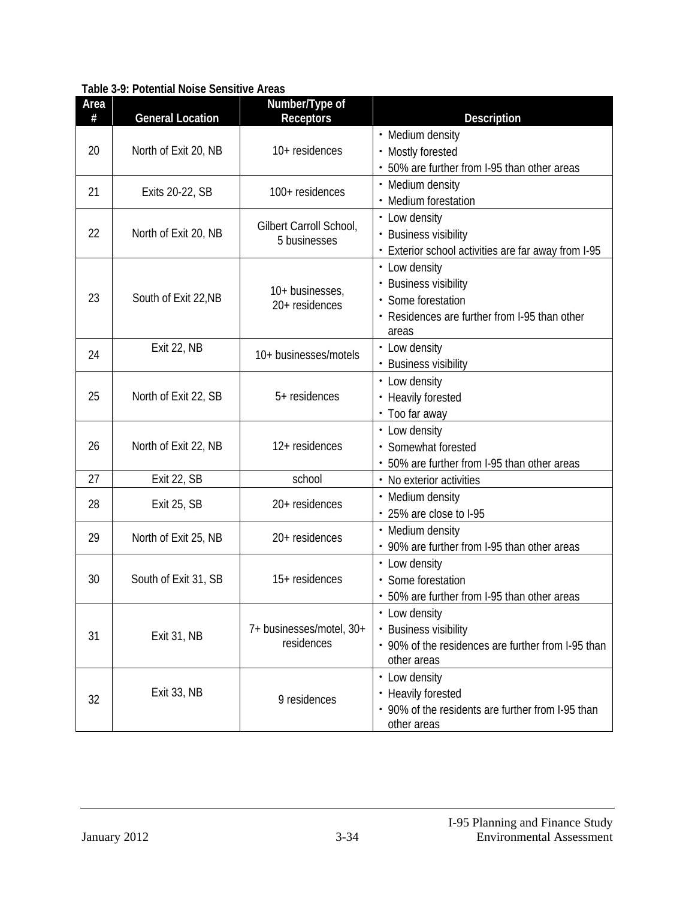| Area<br># | <b>General Location</b> | Number/Type of<br><b>Receptors</b>      | Description                                                                                                            |
|-----------|-------------------------|-----------------------------------------|------------------------------------------------------------------------------------------------------------------------|
| 20        | North of Exit 20, NB    | 10+ residences                          | • Medium density<br>• Mostly forested<br>• 50% are further from I-95 than other areas                                  |
| 21        | Exits 20-22, SB         | 100+ residences                         | • Medium density<br>• Medium forestation                                                                               |
| 22        | North of Exit 20, NB    | Gilbert Carroll School,<br>5 businesses | • Low density<br>• Business visibility<br>• Exterior school activities are far away from I-95                          |
| 23        | South of Exit 22, NB    | 10+ businesses,<br>20+ residences       | • Low density<br>• Business visibility<br>· Some forestation<br>• Residences are further from I-95 than other<br>areas |
| 24        | Exit 22, NB             | 10+ businesses/motels                   | • Low density<br>• Business visibility                                                                                 |
| 25        | North of Exit 22, SB    | 5+ residences                           | • Low density<br>• Heavily forested<br>• Too far away                                                                  |
| 26        | North of Exit 22, NB    | 12+ residences                          | • Low density<br>· Somewhat forested<br>• 50% are further from I-95 than other areas                                   |
| 27        | Exit 22, SB             | school                                  | • No exterior activities                                                                                               |
| 28        | <b>Exit 25, SB</b>      | 20+ residences                          | • Medium density<br>• 25% are close to I-95                                                                            |
| 29        | North of Exit 25, NB    | 20+ residences                          | • Medium density<br>• 90% are further from I-95 than other areas                                                       |
| 30        | South of Exit 31, SB    | 15+ residences                          | • Low density<br>· Some forestation<br>• 50% are further from I-95 than other areas                                    |
| 31        | Exit 31, NB             | 7+ businesses/motel, 30+<br>residences  | • Low density<br>• Business visibility<br>• 90% of the residences are further from I-95 than<br>other areas            |
| 32        | Exit 33, NB             | 9 residences                            | • Low density<br>• Heavily forested<br>• 90% of the residents are further from I-95 than<br>other areas                |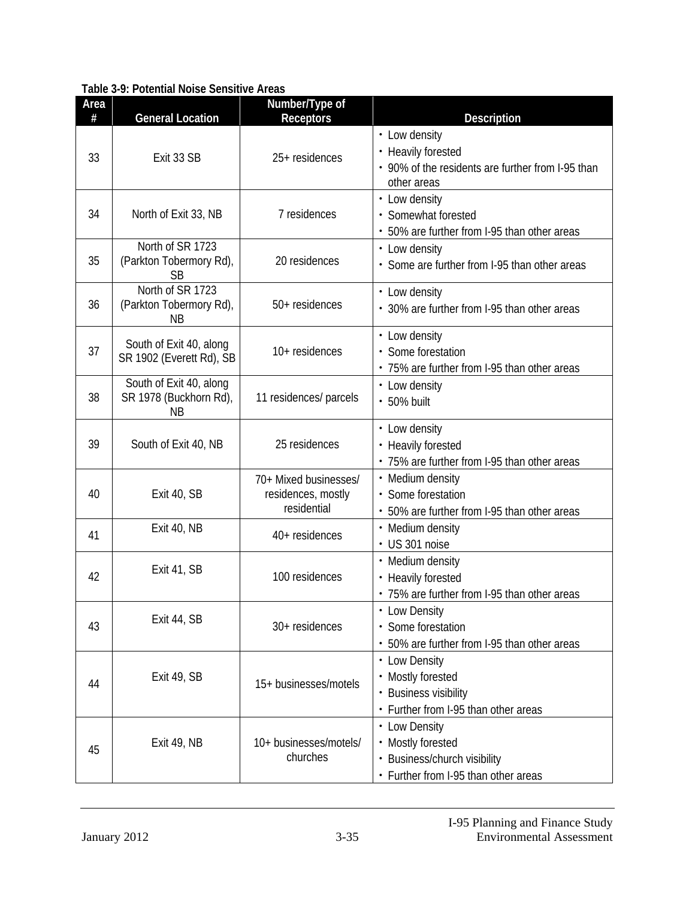| Area<br># | <b>General Location</b>                                        | Number/Type of<br><b>Receptors</b>                         | Description                                                                                                |
|-----------|----------------------------------------------------------------|------------------------------------------------------------|------------------------------------------------------------------------------------------------------------|
| 33        | Exit 33 SB                                                     | 25+ residences                                             | • Low density<br>• Heavily forested<br>• 90% of the residents are further from I-95 than<br>other areas    |
| 34        | North of Exit 33, NB                                           | 7 residences                                               | • Low density<br>· Somewhat forested<br>• 50% are further from I-95 than other areas                       |
| 35        | North of SR 1723<br>(Parkton Tobermory Rd),<br><b>SB</b>       | 20 residences                                              | • Low density<br>• Some are further from I-95 than other areas                                             |
| 36        | North of SR 1723<br>(Parkton Tobermory Rd),<br>ΝB              | 50+ residences                                             | • Low density<br>• 30% are further from I-95 than other areas                                              |
| 37        | South of Exit 40, along<br>SR 1902 (Everett Rd), SB            | 10+ residences                                             | • Low density<br>• Some forestation<br>• 75% are further from I-95 than other areas                        |
| 38        | South of Exit 40, along<br>SR 1978 (Buckhorn Rd),<br><b>NB</b> | 11 residences/ parcels                                     | • Low density<br>· 50% built                                                                               |
| 39        | South of Exit 40, NB                                           | 25 residences                                              | • Low density<br>• Heavily forested<br>• 75% are further from I-95 than other areas                        |
| 40        | Exit 40, SB                                                    | 70+ Mixed businesses/<br>residences, mostly<br>residential | • Medium density<br>· Some forestation<br>• 50% are further from I-95 than other areas                     |
| 41        | Exit 40, NB                                                    | 40+ residences                                             | • Medium density<br>· US 301 noise                                                                         |
| 42        | Exit 41, SB                                                    | 100 residences                                             | • Medium density<br>• Heavily forested<br>• 75% are further from I-95 than other areas                     |
| 43        | Exit 44, SB                                                    | 30+ residences                                             | • Low Density<br>· Some forestation<br>• 50% are further from I-95 than other areas                        |
| 44        | Exit 49, SB                                                    | 15+ businesses/motels                                      | • Low Density<br>• Mostly forested<br>• Business visibility<br>• Further from I-95 than other areas        |
| 45        | Exit 49, NB                                                    | 10+ businesses/motels/<br>churches                         | • Low Density<br>• Mostly forested<br>• Business/church visibility<br>• Further from I-95 than other areas |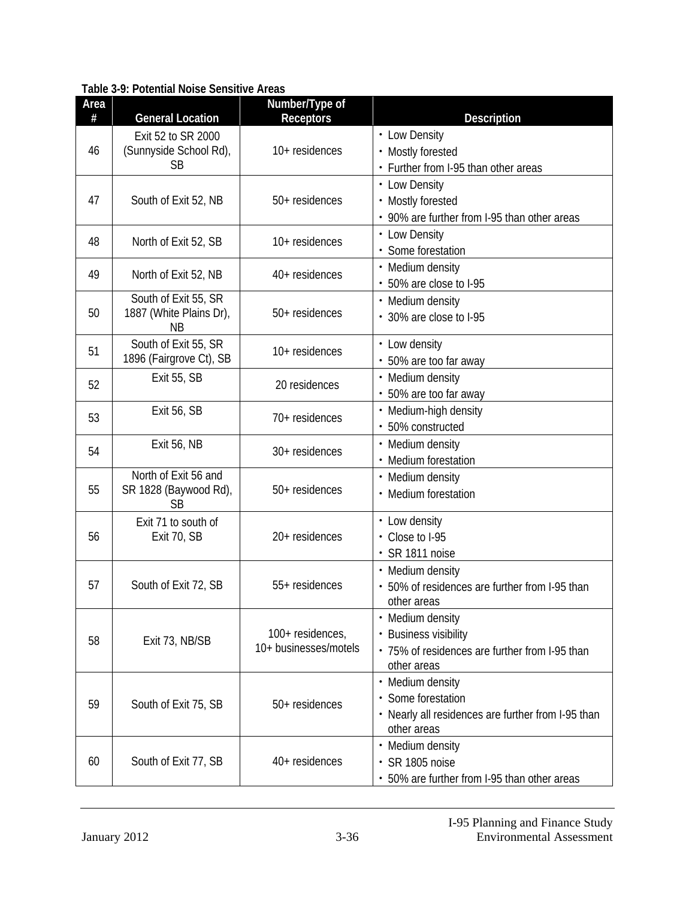| Area<br># | <b>General Location</b>                                    | Number/Type of<br><b>Receptors</b>        | <b>Description</b>                                                                                          |
|-----------|------------------------------------------------------------|-------------------------------------------|-------------------------------------------------------------------------------------------------------------|
| 46        | Exit 52 to SR 2000<br>(Sunnyside School Rd),<br><b>SB</b>  | 10+ residences                            | • Low Density<br>• Mostly forested<br>• Further from I-95 than other areas                                  |
| 47        | South of Exit 52, NB                                       | 50+ residences                            | • Low Density<br>• Mostly forested<br>• 90% are further from I-95 than other areas                          |
| 48        | North of Exit 52, SB                                       | 10+ residences                            | • Low Density<br>· Some forestation                                                                         |
| 49        | North of Exit 52, NB                                       | 40+ residences                            | • Medium density<br>• 50% are close to I-95                                                                 |
| 50        | South of Exit 55, SR<br>1887 (White Plains Dr),<br>ΝB      | 50+ residences                            | • Medium density<br>• 30% are close to I-95                                                                 |
| 51        | South of Exit 55, SR<br>1896 (Fairgrove Ct), SB            | 10+ residences                            | • Low density<br>• 50% are too far away                                                                     |
| 52        | Exit 55, SB                                                | 20 residences                             | • Medium density<br>• 50% are too far away                                                                  |
| 53        | Exit 56, SB                                                | 70+ residences                            | • Medium-high density<br>· 50% constructed                                                                  |
| 54        | <b>Exit 56, NB</b>                                         | 30+ residences                            | • Medium density<br>• Medium forestation                                                                    |
| 55        | North of Exit 56 and<br>SR 1828 (Baywood Rd),<br><b>SB</b> | 50+ residences                            | • Medium density<br>• Medium forestation                                                                    |
| 56        | Exit 71 to south of<br>Exit 70, SB                         | 20+ residences                            | • Low density<br>• Close to I-95<br>· SR 1811 noise                                                         |
| 57        | South of Exit 72, SB                                       | 55+ residences                            | • Medium density<br>• 50% of residences are further from I-95 than<br>other areas                           |
| 58        | Exit 73, NB/SB                                             | 100+ residences,<br>10+ businesses/motels | • Medium density<br>• Business visibility<br>• 75% of residences are further from I-95 than<br>other areas  |
| 59        | South of Exit 75, SB                                       | 50+ residences                            | • Medium density<br>· Some forestation<br>• Nearly all residences are further from I-95 than<br>other areas |
| 60        | South of Exit 77, SB                                       | 40+ residences                            | • Medium density<br>· SR 1805 noise<br>• 50% are further from I-95 than other areas                         |

**Table 3-9: Potential Noise Sensitive Areas**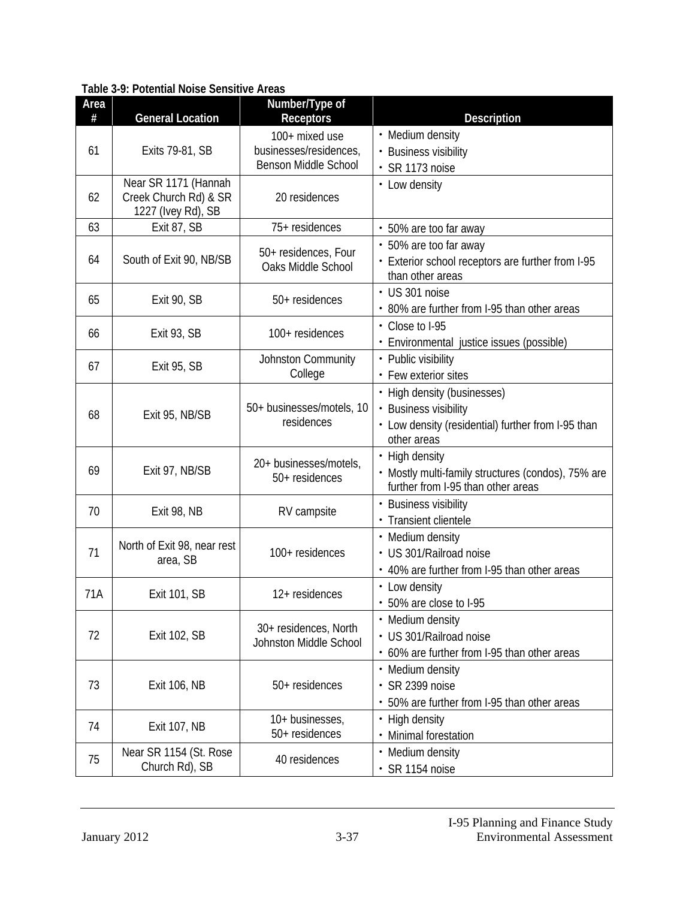| Area<br># | <b>General Location</b>                 | Number/Type of<br><b>Receptors</b>         | <b>Description</b>                                                                       |
|-----------|-----------------------------------------|--------------------------------------------|------------------------------------------------------------------------------------------|
|           |                                         | 100+ mixed use                             | • Medium density                                                                         |
| 61        | Exits 79-81, SB                         | businesses/residences,                     | • Business visibility                                                                    |
|           |                                         | <b>Benson Middle School</b>                | · SR 1173 noise                                                                          |
|           | Near SR 1171 (Hannah                    |                                            | • Low density                                                                            |
| 62        | Creek Church Rd) & SR                   | 20 residences                              |                                                                                          |
| 63        | 1227 (Ivey Rd), SB<br>Exit 87, SB       | 75+ residences                             | • 50% are too far away                                                                   |
|           |                                         |                                            | • 50% are too far away                                                                   |
| 64        | South of Exit 90, NB/SB                 | 50+ residences, Four<br>Oaks Middle School | • Exterior school receptors are further from I-95                                        |
|           |                                         |                                            | than other areas                                                                         |
|           |                                         |                                            | • US 301 noise                                                                           |
| 65        | Exit 90, SB                             | 50+ residences                             | • 80% are further from I-95 than other areas                                             |
| 66        |                                         | 100+ residences                            | • Close to I-95                                                                          |
|           | Exit 93, SB                             |                                            | · Environmental justice issues (possible)                                                |
| 67        | Exit 95, SB                             | Johnston Community                         | • Public visibility                                                                      |
|           |                                         | College                                    | • Few exterior sites                                                                     |
|           | Exit 95, NB/SB                          | 50+ businesses/motels, 10<br>residences    | • High density (businesses)                                                              |
| 68        |                                         |                                            | • Business visibility                                                                    |
|           |                                         |                                            | • Low density (residential) further from I-95 than                                       |
|           |                                         |                                            | other areas                                                                              |
| 69        |                                         | 20+ businesses/motels,                     | • High density                                                                           |
|           | Exit 97, NB/SB                          | 50+ residences                             | • Mostly multi-family structures (condos), 75% are<br>further from I-95 than other areas |
|           |                                         |                                            | • Business visibility                                                                    |
| 70        | Exit 98, NB                             | RV campsite                                | · Transient clientele                                                                    |
|           |                                         |                                            | • Medium density                                                                         |
| 71        | North of Exit 98, near rest<br>area, SB | 100+ residences                            | • US 301/Railroad noise                                                                  |
|           |                                         |                                            | • 40% are further from I-95 than other areas                                             |
| 71A       |                                         | 12+ residences                             | • Low density                                                                            |
|           | <b>Exit 101, SB</b>                     |                                            | • 50% are close to I-95                                                                  |
|           | <b>Exit 102, SB</b>                     | 30+ residences, North                      | • Medium density                                                                         |
| 72        |                                         | Johnston Middle School                     | · US 301/Railroad noise                                                                  |
|           |                                         |                                            | • 60% are further from I-95 than other areas                                             |
| 73        | Exit 106, NB                            |                                            | • Medium density                                                                         |
|           |                                         | 50+ residences                             | · SR 2399 noise                                                                          |
|           |                                         |                                            | • 50% are further from I-95 than other areas                                             |
| 74        | <b>Exit 107, NB</b>                     | 10+ businesses,                            | • High density                                                                           |
|           |                                         | 50+ residences                             | • Minimal forestation                                                                    |
| 75        | Near SR 1154 (St. Rose                  | 40 residences                              | • Medium density                                                                         |
|           | Church Rd), SB                          |                                            | · SR 1154 noise                                                                          |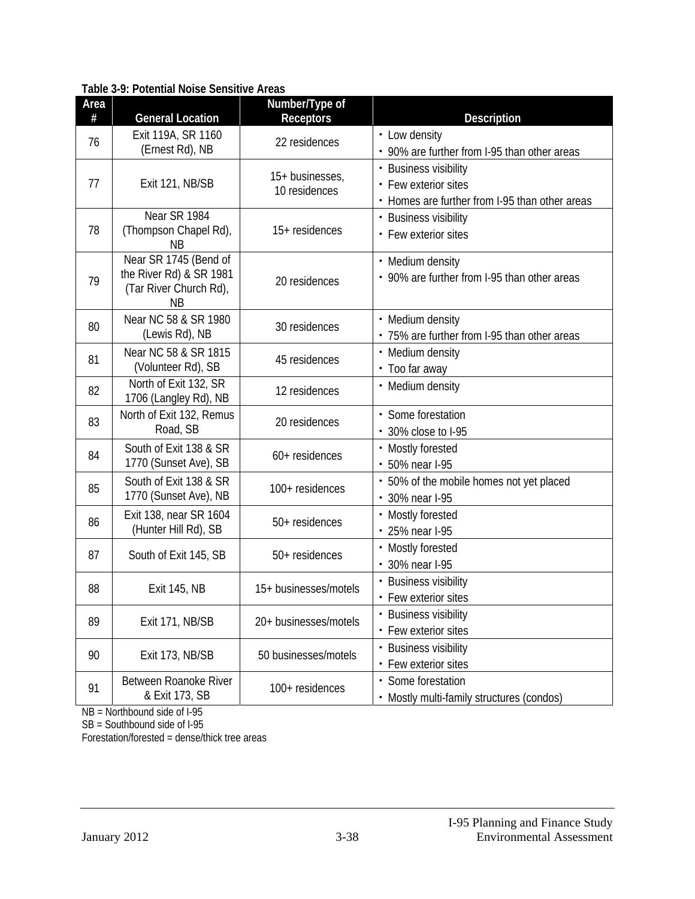| Area<br># | <b>General Location</b>                                                                 | Number/Type of<br><b>Receptors</b> | <b>Description</b>                                                                              |
|-----------|-----------------------------------------------------------------------------------------|------------------------------------|-------------------------------------------------------------------------------------------------|
| 76        | Exit 119A, SR 1160<br>(Ernest Rd), NB                                                   | 22 residences                      | • Low density<br>• 90% are further from I-95 than other areas                                   |
| 77        | Exit 121, NB/SB                                                                         | 15+ businesses,<br>10 residences   | • Business visibility<br>• Few exterior sites<br>• Homes are further from I-95 than other areas |
| 78        | Near SR 1984<br>(Thompson Chapel Rd),<br>ΝB                                             | 15+ residences                     | • Business visibility<br>• Few exterior sites                                                   |
| 79        | Near SR 1745 (Bend of<br>the River Rd) & SR 1981<br>(Tar River Church Rd),<br><b>NB</b> | 20 residences                      | • Medium density<br>• 90% are further from I-95 than other areas                                |
| 80        | Near NC 58 & SR 1980<br>(Lewis Rd), NB                                                  | 30 residences                      | • Medium density<br>• 75% are further from I-95 than other areas                                |
| 81        | Near NC 58 & SR 1815<br>(Volunteer Rd), SB                                              | 45 residences                      | • Medium density<br>• Too far away                                                              |
| 82        | North of Exit 132, SR<br>1706 (Langley Rd), NB                                          | 12 residences                      | • Medium density                                                                                |
| 83        | North of Exit 132, Remus<br>Road, SB                                                    | 20 residences                      | • Some forestation<br>• 30% close to I-95                                                       |
| 84        | South of Exit 138 & SR<br>1770 (Sunset Ave), SB                                         | 60+ residences                     | • Mostly forested<br>• 50% near I-95                                                            |
| 85        | South of Exit 138 & SR<br>1770 (Sunset Ave), NB                                         | 100+ residences                    | • 50% of the mobile homes not yet placed<br>• 30% near I-95                                     |
| 86        | Exit 138, near SR 1604<br>(Hunter Hill Rd), SB                                          | 50+ residences                     | • Mostly forested<br>• 25% near I-95                                                            |
| 87        | South of Exit 145, SB                                                                   | 50+ residences                     | • Mostly forested<br>• 30% near I-95                                                            |
| 88        | <b>Exit 145, NB</b>                                                                     | 15+ businesses/motels              | • Business visibility<br>• Few exterior sites                                                   |
| 89        | Exit 171, NB/SB                                                                         | 20+ businesses/motels              | • Business visibility<br>• Few exterior sites                                                   |
| 90        | Exit 173, NB/SB                                                                         | 50 businesses/motels               | • Business visibility<br>• Few exterior sites                                                   |
| 91        | Between Roanoke River<br>& Exit 173, SB                                                 | 100+ residences                    | • Some forestation<br>• Mostly multi-family structures (condos)                                 |

NB = Northbound side of I-95

SB = Southbound side of I-95

Forestation/forested = dense/thick tree areas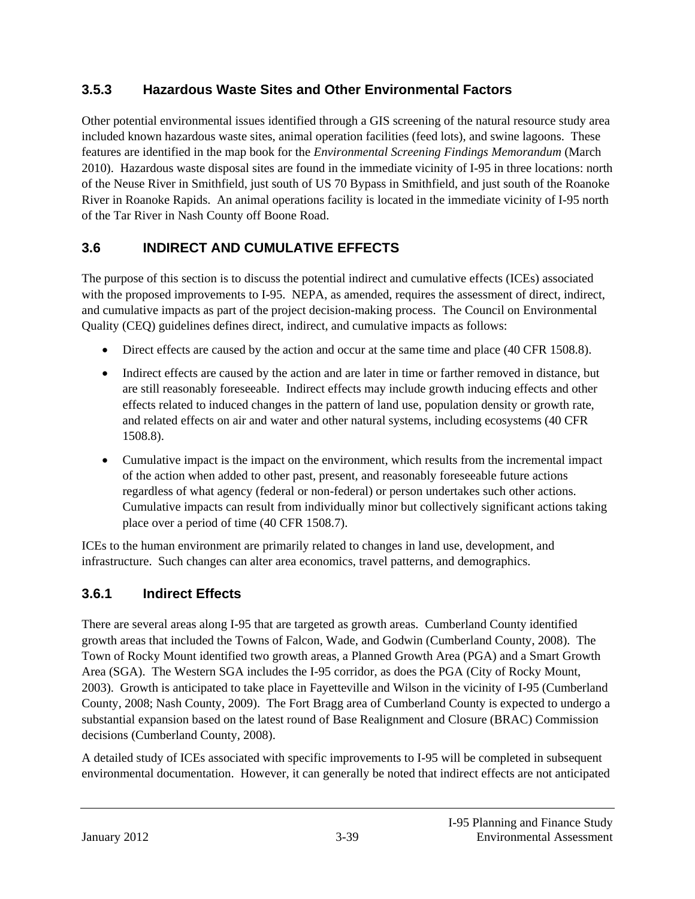### **3.5.3 Hazardous Waste Sites and Other Environmental Factors**

Other potential environmental issues identified through a GIS screening of the natural resource study area included known hazardous waste sites, animal operation facilities (feed lots), and swine lagoons. These features are identified in the map book for the *Environmental Screening Findings Memorandum* (March 2010). Hazardous waste disposal sites are found in the immediate vicinity of I-95 in three locations: north of the Neuse River in Smithfield, just south of US 70 Bypass in Smithfield, and just south of the Roanoke River in Roanoke Rapids. An animal operations facility is located in the immediate vicinity of I-95 north of the Tar River in Nash County off Boone Road.

# **3.6 INDIRECT AND CUMULATIVE EFFECTS**

The purpose of this section is to discuss the potential indirect and cumulative effects (ICEs) associated with the proposed improvements to I-95. NEPA, as amended, requires the assessment of direct, indirect, and cumulative impacts as part of the project decision-making process. The Council on Environmental Quality (CEQ) guidelines defines direct, indirect, and cumulative impacts as follows:

- Direct effects are caused by the action and occur at the same time and place (40 CFR 1508.8).
- Indirect effects are caused by the action and are later in time or farther removed in distance, but are still reasonably foreseeable. Indirect effects may include growth inducing effects and other effects related to induced changes in the pattern of land use, population density or growth rate, and related effects on air and water and other natural systems, including ecosystems (40 CFR 1508.8).
- Cumulative impact is the impact on the environment, which results from the incremental impact of the action when added to other past, present, and reasonably foreseeable future actions regardless of what agency (federal or non-federal) or person undertakes such other actions. Cumulative impacts can result from individually minor but collectively significant actions taking place over a period of time (40 CFR 1508.7).

ICEs to the human environment are primarily related to changes in land use, development, and infrastructure. Such changes can alter area economics, travel patterns, and demographics.

# **3.6.1 Indirect Effects**

There are several areas along I-95 that are targeted as growth areas. Cumberland County identified growth areas that included the Towns of Falcon, Wade, and Godwin (Cumberland County, 2008). The Town of Rocky Mount identified two growth areas, a Planned Growth Area (PGA) and a Smart Growth Area (SGA). The Western SGA includes the I-95 corridor, as does the PGA (City of Rocky Mount, 2003). Growth is anticipated to take place in Fayetteville and Wilson in the vicinity of I-95 (Cumberland County, 2008; Nash County, 2009). The Fort Bragg area of Cumberland County is expected to undergo a substantial expansion based on the latest round of Base Realignment and Closure (BRAC) Commission decisions (Cumberland County, 2008).

A detailed study of ICEs associated with specific improvements to I-95 will be completed in subsequent environmental documentation. However, it can generally be noted that indirect effects are not anticipated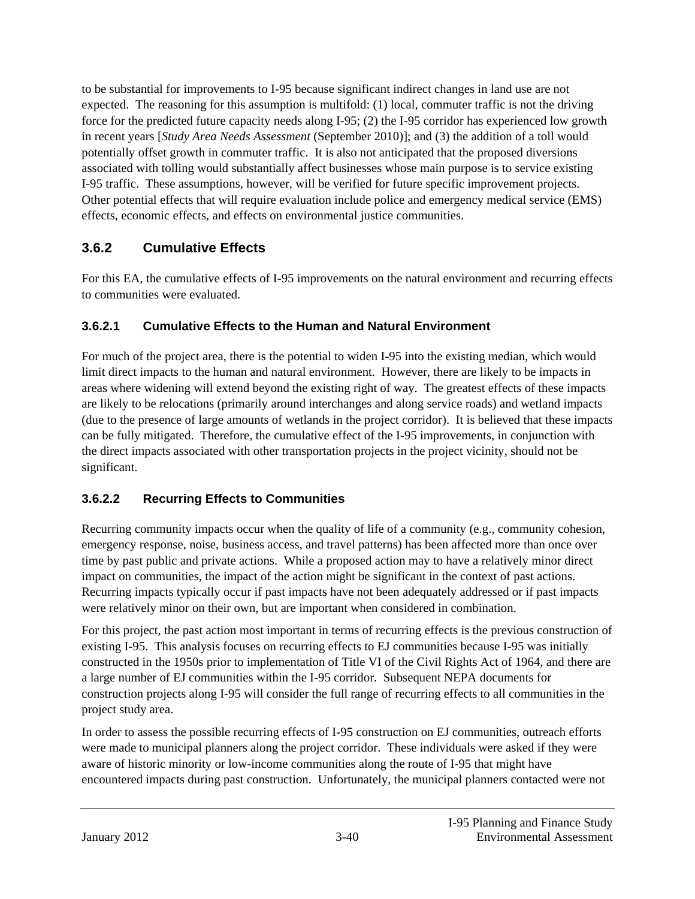to be substantial for improvements to I-95 because significant indirect changes in land use are not expected. The reasoning for this assumption is multifold: (1) local, commuter traffic is not the driving force for the predicted future capacity needs along I-95; (2) the I-95 corridor has experienced low growth in recent years [*Study Area Needs Assessment* (September 2010)]; and (3) the addition of a toll would potentially offset growth in commuter traffic. It is also not anticipated that the proposed diversions associated with tolling would substantially affect businesses whose main purpose is to service existing I-95 traffic. These assumptions, however, will be verified for future specific improvement projects. Other potential effects that will require evaluation include police and emergency medical service (EMS) effects, economic effects, and effects on environmental justice communities.

### **3.6.2 Cumulative Effects**

For this EA, the cumulative effects of I-95 improvements on the natural environment and recurring effects to communities were evaluated.

#### **3.6.2.1 Cumulative Effects to the Human and Natural Environment**

For much of the project area, there is the potential to widen I-95 into the existing median, which would limit direct impacts to the human and natural environment. However, there are likely to be impacts in areas where widening will extend beyond the existing right of way. The greatest effects of these impacts are likely to be relocations (primarily around interchanges and along service roads) and wetland impacts (due to the presence of large amounts of wetlands in the project corridor). It is believed that these impacts can be fully mitigated. Therefore, the cumulative effect of the I-95 improvements, in conjunction with the direct impacts associated with other transportation projects in the project vicinity, should not be significant.

### **3.6.2.2 Recurring Effects to Communities**

Recurring community impacts occur when the quality of life of a community (e.g., community cohesion, emergency response, noise, business access, and travel patterns) has been affected more than once over time by past public and private actions. While a proposed action may to have a relatively minor direct impact on communities, the impact of the action might be significant in the context of past actions. Recurring impacts typically occur if past impacts have not been adequately addressed or if past impacts were relatively minor on their own, but are important when considered in combination.

For this project, the past action most important in terms of recurring effects is the previous construction of existing I-95. This analysis focuses on recurring effects to EJ communities because I-95 was initially constructed in the 1950s prior to implementation of Title VI of the Civil Rights Act of 1964, and there are a large number of EJ communities within the I-95 corridor. Subsequent NEPA documents for construction projects along I-95 will consider the full range of recurring effects to all communities in the project study area.

In order to assess the possible recurring effects of I-95 construction on EJ communities, outreach efforts were made to municipal planners along the project corridor. These individuals were asked if they were aware of historic minority or low-income communities along the route of I-95 that might have encountered impacts during past construction. Unfortunately, the municipal planners contacted were not